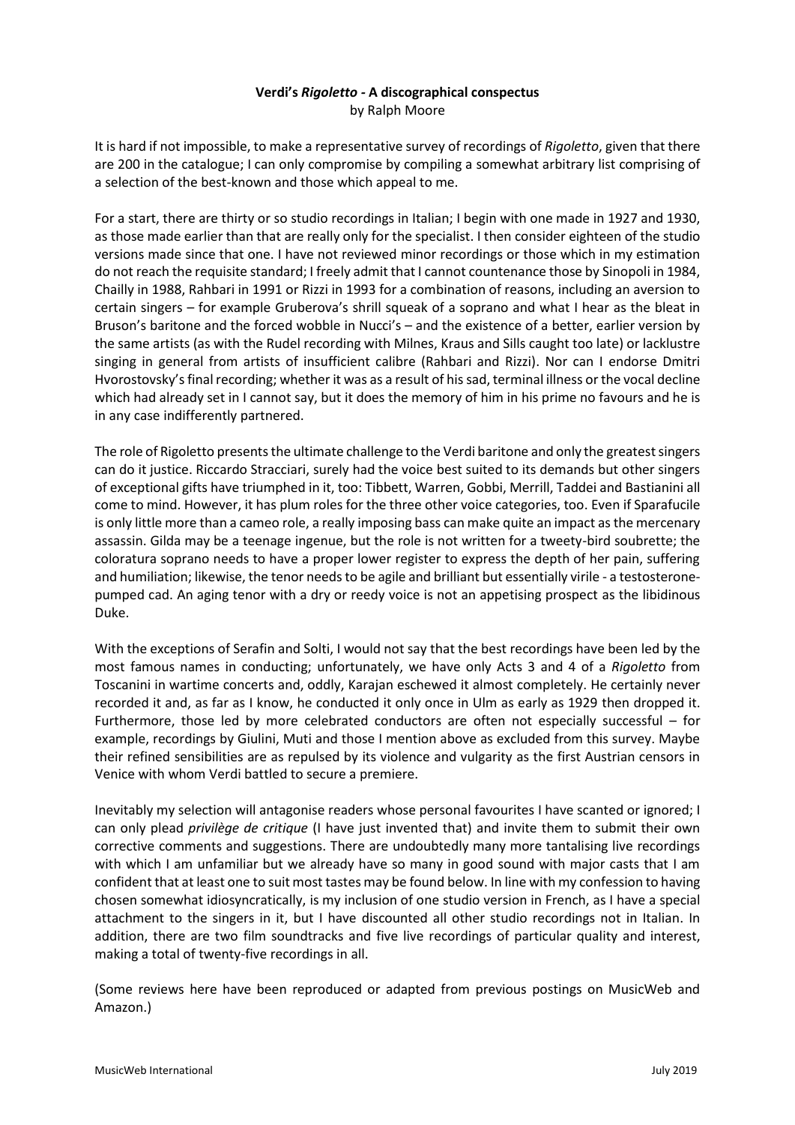# **Verdi's** *Rigoletto -* **A discographical conspectus** by Ralph Moore

It is hard if not impossible, to make a representative survey of recordings of *Rigoletto*, given that there are 200 in the catalogue; I can only compromise by compiling a somewhat arbitrary list comprising of a selection of the best-known and those which appeal to me.

For a start, there are thirty or so studio recordings in Italian; I begin with one made in 1927 and 1930, as those made earlier than that are really only for the specialist. I then consider eighteen of the studio versions made since that one. I have not reviewed minor recordings or those which in my estimation do not reach the requisite standard; I freely admit that I cannot countenance those by Sinopoli in 1984, Chailly in 1988, Rahbari in 1991 or Rizzi in 1993 for a combination of reasons, including an aversion to certain singers – for example Gruberova's shrill squeak of a soprano and what I hear as the bleat in Bruson's baritone and the forced wobble in Nucci's – and the existence of a better, earlier version by the same artists (as with the Rudel recording with Milnes, Kraus and Sills caught too late) or lacklustre singing in general from artists of insufficient calibre (Rahbari and Rizzi). Nor can I endorse Dmitri Hvorostovsky's final recording; whether it was as a result of his sad, terminal illness or the vocal decline which had already set in I cannot say, but it does the memory of him in his prime no favours and he is in any case indifferently partnered.

The role of Rigoletto presents the ultimate challenge to the Verdi baritone and only the greatestsingers can do it justice. Riccardo Stracciari, surely had the voice best suited to its demands but other singers of exceptional gifts have triumphed in it, too: Tibbett, Warren, Gobbi, Merrill, Taddei and Bastianini all come to mind. However, it has plum roles for the three other voice categories, too. Even if Sparafucile is only little more than a cameo role, a really imposing bass can make quite an impact as the mercenary assassin. Gilda may be a teenage ingenue, but the role is not written for a tweety-bird soubrette; the coloratura soprano needs to have a proper lower register to express the depth of her pain, suffering and humiliation; likewise, the tenor needs to be agile and brilliant but essentially virile - a testosteronepumped cad. An aging tenor with a dry or reedy voice is not an appetising prospect as the libidinous Duke.

With the exceptions of Serafin and Solti, I would not say that the best recordings have been led by the most famous names in conducting; unfortunately, we have only Acts 3 and 4 of a *Rigoletto* from Toscanini in wartime concerts and, oddly, Karajan eschewed it almost completely. He certainly never recorded it and, as far as I know, he conducted it only once in Ulm as early as 1929 then dropped it. Furthermore, those led by more celebrated conductors are often not especially successful – for example, recordings by Giulini, Muti and those I mention above as excluded from this survey. Maybe their refined sensibilities are as repulsed by its violence and vulgarity as the first Austrian censors in Venice with whom Verdi battled to secure a premiere.

Inevitably my selection will antagonise readers whose personal favourites I have scanted or ignored; I can only plead *privilège de critique* (I have just invented that) and invite them to submit their own corrective comments and suggestions. There are undoubtedly many more tantalising live recordings with which I am unfamiliar but we already have so many in good sound with major casts that I am confident that at least one to suit most tastes may be found below. In line with my confession to having chosen somewhat idiosyncratically, is my inclusion of one studio version in French, as I have a special attachment to the singers in it, but I have discounted all other studio recordings not in Italian. In addition, there are two film soundtracks and five live recordings of particular quality and interest, making a total of twenty-five recordings in all.

(Some reviews here have been reproduced or adapted from previous postings on MusicWeb and Amazon.)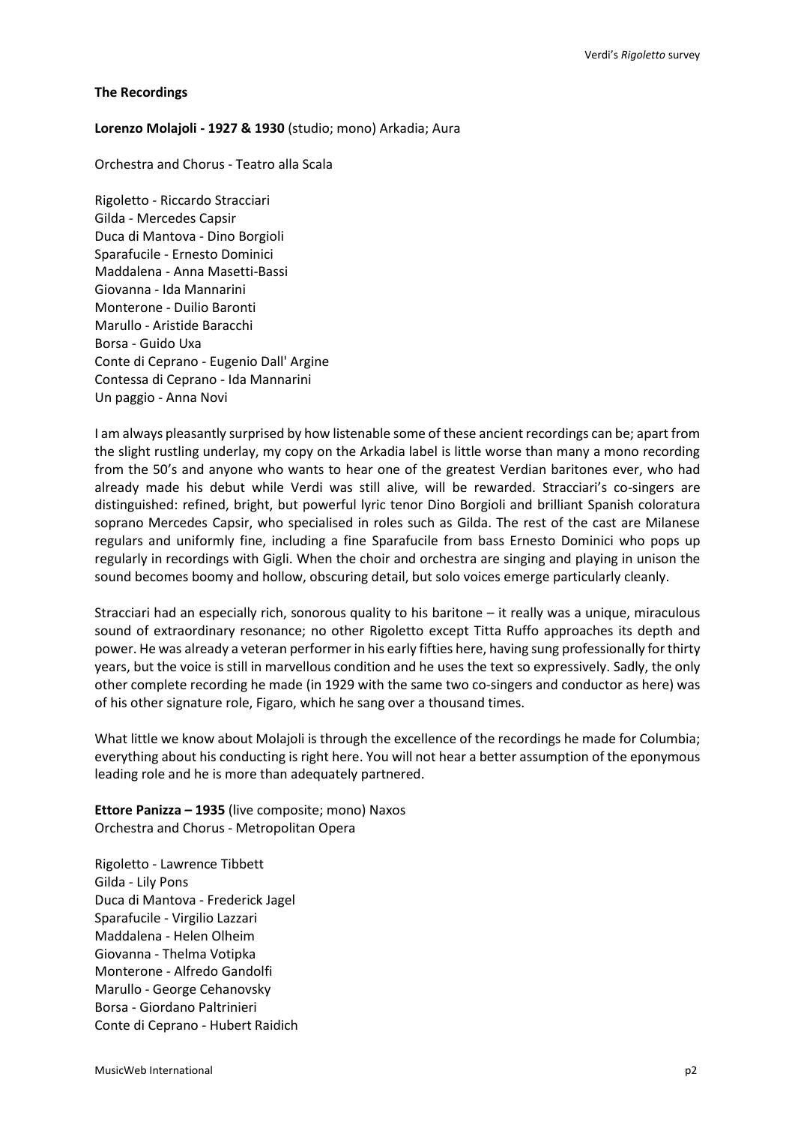## **The Recordings**

## **Lorenzo Molajoli - 1927 & 1930** (studio; mono) Arkadia; Aura

Orchestra and Chorus - Teatro alla Scala

Rigoletto - Riccardo Stracciari Gilda - Mercedes Capsir Duca di Mantova - Dino Borgioli Sparafucile - Ernesto Dominici Maddalena - Anna Masetti-Bassi Giovanna - Ida Mannarini Monterone - Duilio Baronti Marullo - Aristide Baracchi Borsa - Guido Uxa Conte di Ceprano - Eugenio Dall' Argine Contessa di Ceprano - Ida Mannarini Un paggio - Anna Novi

I am always pleasantly surprised by how listenable some of these ancient recordings can be; apart from the slight rustling underlay, my copy on the Arkadia label is little worse than many a mono recording from the 50's and anyone who wants to hear one of the greatest Verdian baritones ever, who had already made his debut while Verdi was still alive, will be rewarded. Stracciari's co-singers are distinguished: refined, bright, but powerful lyric tenor Dino Borgioli and brilliant Spanish coloratura soprano Mercedes Capsir, who specialised in roles such as Gilda. The rest of the cast are Milanese regulars and uniformly fine, including a fine Sparafucile from bass Ernesto Dominici who pops up regularly in recordings with Gigli. When the choir and orchestra are singing and playing in unison the sound becomes boomy and hollow, obscuring detail, but solo voices emerge particularly cleanly.

Stracciari had an especially rich, sonorous quality to his baritone – it really was a unique, miraculous sound of extraordinary resonance; no other Rigoletto except Titta Ruffo approaches its depth and power. He was already a veteran performer in his early fifties here, having sung professionally for thirty years, but the voice is still in marvellous condition and he uses the text so expressively. Sadly, the only other complete recording he made (in 1929 with the same two co-singers and conductor as here) was of his other signature role, Figaro, which he sang over a thousand times.

What little we know about Molajoli is through the excellence of the recordings he made for Columbia; everything about his conducting is right here. You will not hear a better assumption of the eponymous leading role and he is more than adequately partnered.

**Ettore Panizza – 1935** (live composite; mono) Naxos Orchestra and Chorus - Metropolitan Opera

Rigoletto - Lawrence Tibbett Gilda - Lily Pons Duca di Mantova - Frederick Jagel Sparafucile - Virgilio Lazzari Maddalena - Helen Olheim Giovanna - Thelma Votipka Monterone - Alfredo Gandolfi Marullo - George Cehanovsky Borsa - Giordano Paltrinieri Conte di Ceprano - Hubert Raidich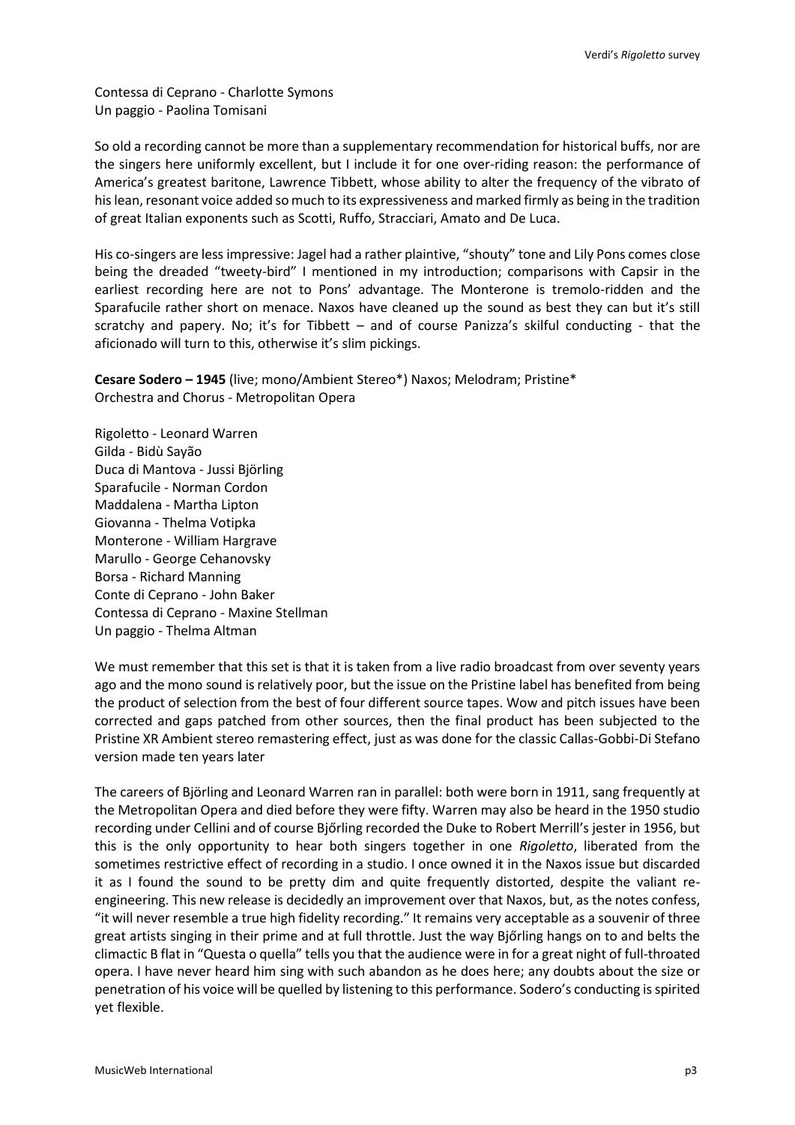Contessa di Ceprano - Charlotte Symons Un paggio - Paolina Tomisani

So old a recording cannot be more than a supplementary recommendation for historical buffs, nor are the singers here uniformly excellent, but I include it for one over-riding reason: the performance of America's greatest baritone, Lawrence Tibbett, whose ability to alter the frequency of the vibrato of his lean, resonant voice added so much to its expressiveness and marked firmly as being in the tradition of great Italian exponents such as Scotti, Ruffo, Stracciari, Amato and De Luca.

His co-singers are less impressive: Jagel had a rather plaintive, "shouty" tone and Lily Pons comes close being the dreaded "tweety-bird" I mentioned in my introduction; comparisons with Capsir in the earliest recording here are not to Pons' advantage. The Monterone is tremolo-ridden and the Sparafucile rather short on menace. Naxos have cleaned up the sound as best they can but it's still scratchy and papery. No; it's for Tibbett – and of course Panizza's skilful conducting - that the aficionado will turn to this, otherwise it's slim pickings.

**Cesare Sodero – 1945** (live; mono/Ambient Stereo\*) Naxos; Melodram; Pristine\* Orchestra and Chorus - Metropolitan Opera

Rigoletto - Leonard Warren Gilda - Bidù Sayão Duca di Mantova - Jussi Björling Sparafucile - Norman Cordon Maddalena - Martha Lipton Giovanna - Thelma Votipka Monterone - William Hargrave Marullo - George Cehanovsky Borsa - Richard Manning Conte di Ceprano - John Baker Contessa di Ceprano - Maxine Stellman Un paggio - Thelma Altman

We must remember that this set is that it is taken from a live radio broadcast from over seventy years ago and the mono sound is relatively poor, but the issue on the Pristine label has benefited from being the product of selection from the best of four different source tapes. Wow and pitch issues have been corrected and gaps patched from other sources, then the final product has been subjected to the Pristine XR Ambient stereo remastering effect, just as was done for the classic Callas-Gobbi-Di Stefano version made ten years later

The careers of Björling and Leonard Warren ran in parallel: both were born in 1911, sang frequently at the Metropolitan Opera and died before they were fifty. Warren may also be heard in the 1950 studio recording under Cellini and of course Bjőrling recorded the Duke to Robert Merrill's jester in 1956, but this is the only opportunity to hear both singers together in one *Rigoletto*, liberated from the sometimes restrictive effect of recording in a studio. I once owned it in the Naxos issue but discarded it as I found the sound to be pretty dim and quite frequently distorted, despite the valiant reengineering. This new release is decidedly an improvement over that Naxos, but, as the notes confess, "it will never resemble a true high fidelity recording." It remains very acceptable as a souvenir of three great artists singing in their prime and at full throttle. Just the way Bjőrling hangs on to and belts the climactic B flat in "Questa o quella" tells you that the audience were in for a great night of full-throated opera. I have never heard him sing with such abandon as he does here; any doubts about the size or penetration of his voice will be quelled by listening to this performance. Sodero's conducting is spirited yet flexible.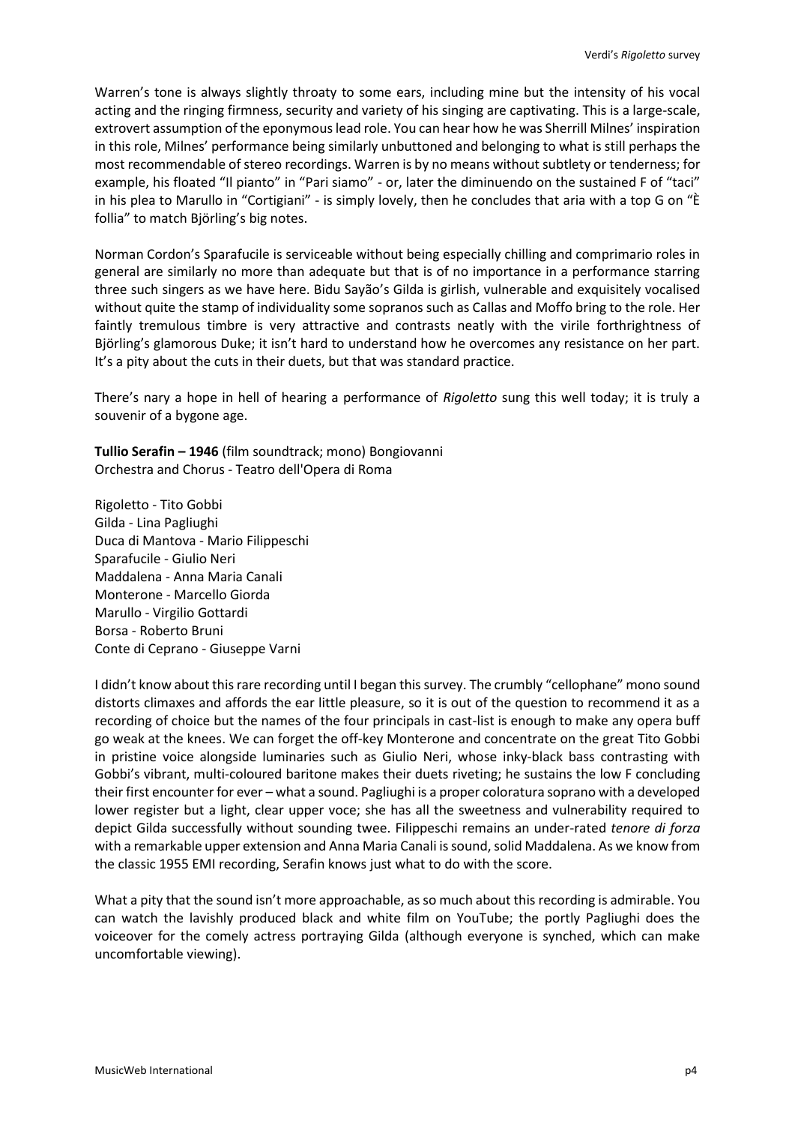Warren's tone is always slightly throaty to some ears, including mine but the intensity of his vocal acting and the ringing firmness, security and variety of his singing are captivating. This is a large-scale, extrovert assumption of the eponymous lead role. You can hear how he was Sherrill Milnes' inspiration in this role, Milnes' performance being similarly unbuttoned and belonging to what is still perhaps the most recommendable of stereo recordings. Warren is by no means without subtlety or tenderness; for example, his floated "Il pianto" in "Pari siamo" - or, later the diminuendo on the sustained F of "taci" in his plea to Marullo in "Cortigiani" - is simply lovely, then he concludes that aria with a top G on "È follia" to match Björling's big notes.

Norman Cordon's Sparafucile is serviceable without being especially chilling and comprimario roles in general are similarly no more than adequate but that is of no importance in a performance starring three such singers as we have here. Bidu Sayão's Gilda is girlish, vulnerable and exquisitely vocalised without quite the stamp of individuality some sopranos such as Callas and Moffo bring to the role. Her faintly tremulous timbre is very attractive and contrasts neatly with the virile forthrightness of Björling's glamorous Duke; it isn't hard to understand how he overcomes any resistance on her part. It's a pity about the cuts in their duets, but that was standard practice.

There's nary a hope in hell of hearing a performance of *Rigoletto* sung this well today; it is truly a souvenir of a bygone age.

**Tullio Serafin – 1946** (film soundtrack; mono) Bongiovanni Orchestra and Chorus - Teatro dell'Opera di Roma

Rigoletto - Tito Gobbi Gilda - Lina Pagliughi Duca di Mantova - Mario Filippeschi Sparafucile - Giulio Neri Maddalena - Anna Maria Canali Monterone - Marcello Giorda Marullo - Virgilio Gottardi Borsa - Roberto Bruni Conte di Ceprano - Giuseppe Varni

I didn't know about this rare recording until I began this survey. The crumbly "cellophane" mono sound distorts climaxes and affords the ear little pleasure, so it is out of the question to recommend it as a recording of choice but the names of the four principals in cast-list is enough to make any opera buff go weak at the knees. We can forget the off-key Monterone and concentrate on the great Tito Gobbi in pristine voice alongside luminaries such as Giulio Neri, whose inky-black bass contrasting with Gobbi's vibrant, multi-coloured baritone makes their duets riveting; he sustains the low F concluding their first encounter for ever – what a sound. Pagliughi is a proper coloratura soprano with a developed lower register but a light, clear upper voce; she has all the sweetness and vulnerability required to depict Gilda successfully without sounding twee. Filippeschi remains an under-rated *tenore di forza* with a remarkable upper extension and Anna Maria Canali is sound, solid Maddalena. As we know from the classic 1955 EMI recording, Serafin knows just what to do with the score.

What a pity that the sound isn't more approachable, as so much about this recording is admirable. You can watch the lavishly produced black and white film on YouTube; the portly Pagliughi does the voiceover for the comely actress portraying Gilda (although everyone is synched, which can make uncomfortable viewing).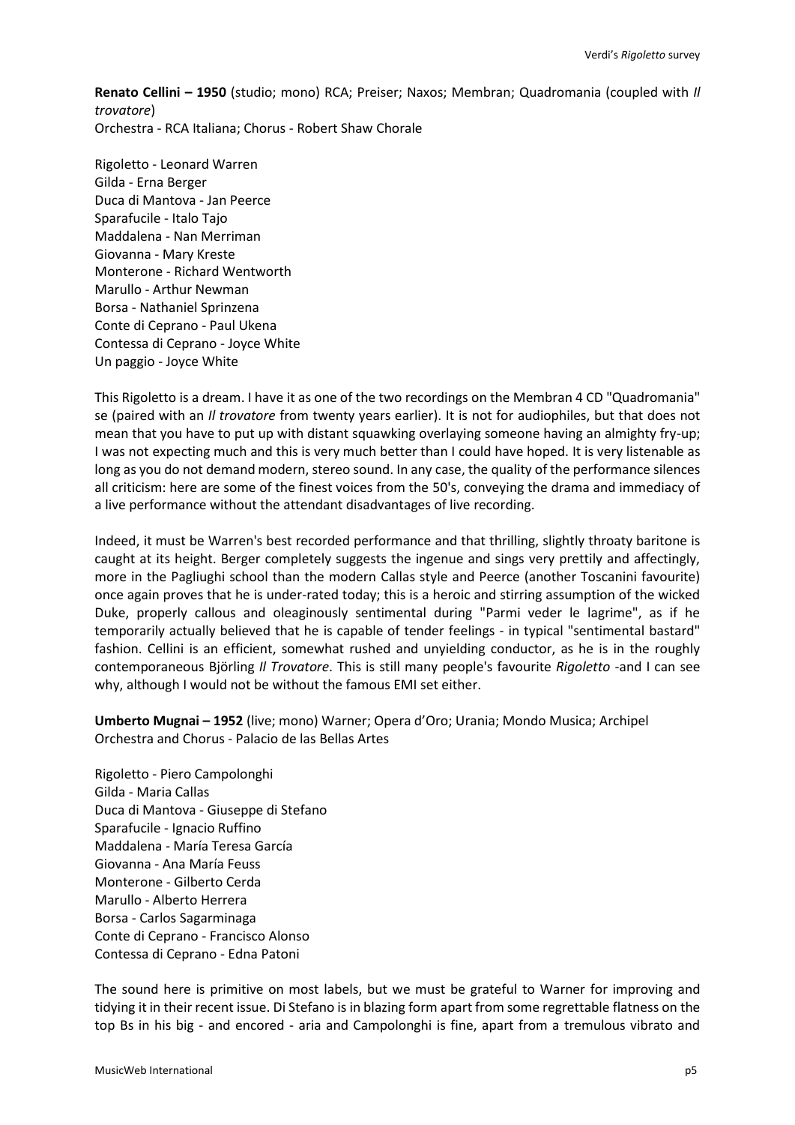**Renato Cellini – 1950** (studio; mono) RCA; Preiser; Naxos; Membran; Quadromania (coupled with *Il trovatore*) Orchestra - RCA Italiana; Chorus - Robert Shaw Chorale

Rigoletto - Leonard Warren Gilda - Erna Berger Duca di Mantova - Jan Peerce Sparafucile - Italo Tajo Maddalena - Nan Merriman Giovanna - Mary Kreste Monterone - Richard Wentworth Marullo - Arthur Newman Borsa - Nathaniel Sprinzena Conte di Ceprano - Paul Ukena Contessa di Ceprano - Joyce White Un paggio - Joyce White

This Rigoletto is a dream. I have it as one of the two recordings on the Membran 4 CD "Quadromania" se (paired with an *Il trovatore* from twenty years earlier). It is not for audiophiles, but that does not mean that you have to put up with distant squawking overlaying someone having an almighty fry-up; I was not expecting much and this is very much better than I could have hoped. It is very listenable as long as you do not demand modern, stereo sound. In any case, the quality of the performance silences all criticism: here are some of the finest voices from the 50's, conveying the drama and immediacy of a live performance without the attendant disadvantages of live recording.

Indeed, it must be Warren's best recorded performance and that thrilling, slightly throaty baritone is caught at its height. Berger completely suggests the ingenue and sings very prettily and affectingly, more in the Pagliughi school than the modern Callas style and Peerce (another Toscanini favourite) once again proves that he is under-rated today; this is a heroic and stirring assumption of the wicked Duke, properly callous and oleaginously sentimental during "Parmi veder le lagrime", as if he temporarily actually believed that he is capable of tender feelings - in typical "sentimental bastard" fashion. Cellini is an efficient, somewhat rushed and unyielding conductor, as he is in the roughly contemporaneous Björling *Il Trovatore*. This is still many people's favourite *Rigoletto* -and I can see why, although I would not be without the famous EMI set either.

**Umberto Mugnai – 1952** (live; mono) Warner; Opera d'Oro; Urania; Mondo Musica; Archipel Orchestra and Chorus - Palacio de las Bellas Artes

Rigoletto - Piero Campolonghi Gilda - Maria Callas Duca di Mantova - Giuseppe di Stefano Sparafucile - Ignacio Ruffino Maddalena - María Teresa García Giovanna - Ana María Feuss Monterone - Gilberto Cerda Marullo - Alberto Herrera Borsa - Carlos Sagarminaga Conte di Ceprano - Francisco Alonso Contessa di Ceprano - Edna Patoni

The sound here is primitive on most labels, but we must be grateful to Warner for improving and tidying it in their recent issue. Di Stefano is in blazing form apart from some regrettable flatness on the top Bs in his big - and encored - aria and Campolonghi is fine, apart from a tremulous vibrato and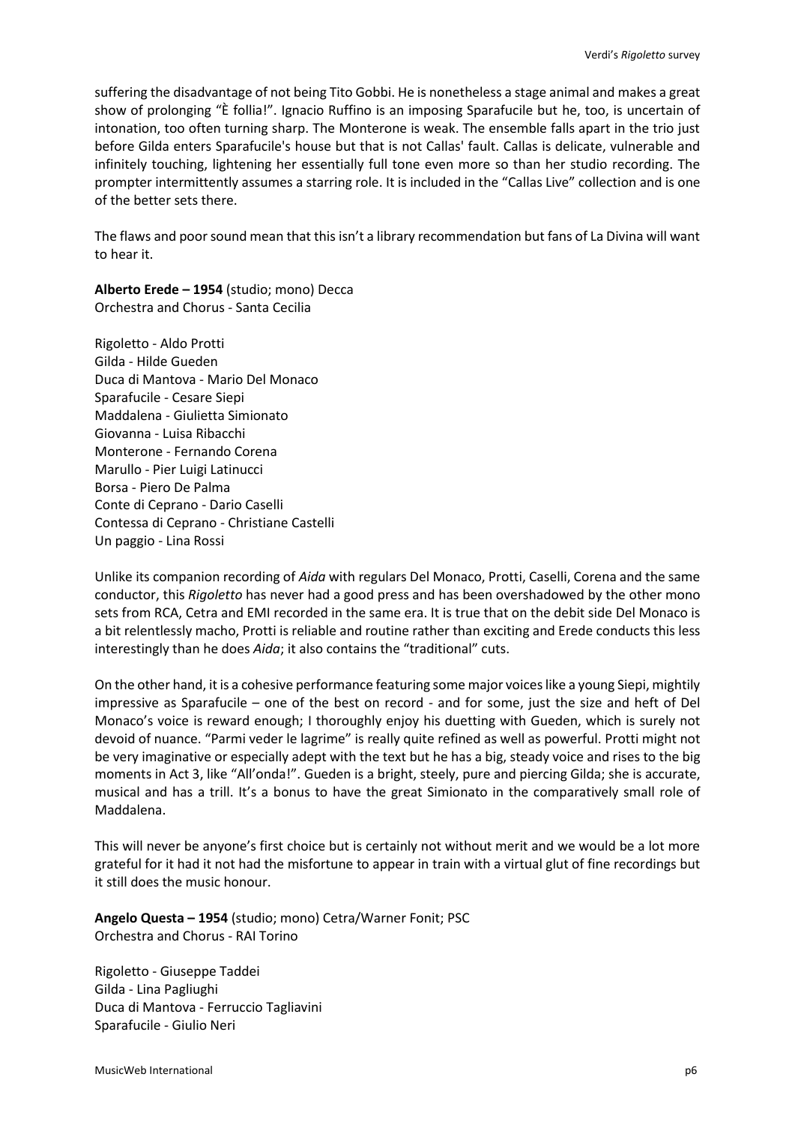suffering the disadvantage of not being Tito Gobbi. He is nonetheless a stage animal and makes a great show of prolonging "È follia!". Ignacio Ruffino is an imposing Sparafucile but he, too, is uncertain of intonation, too often turning sharp. The Monterone is weak. The ensemble falls apart in the trio just before Gilda enters Sparafucile's house but that is not Callas' fault. Callas is delicate, vulnerable and infinitely touching, lightening her essentially full tone even more so than her studio recording. The prompter intermittently assumes a starring role. It is included in the "Callas Live" collection and is one of the better sets there.

The flaws and poor sound mean that this isn't a library recommendation but fans of La Divina will want to hear it.

**Alberto Erede – 1954** (studio; mono) Decca Orchestra and Chorus - Santa Cecilia

Rigoletto - Aldo Protti Gilda - Hilde Gueden Duca di Mantova - Mario Del Monaco Sparafucile - Cesare Siepi Maddalena - Giulietta Simionato Giovanna - Luisa Ribacchi Monterone - Fernando Corena Marullo - Pier Luigi Latinucci Borsa - Piero De Palma Conte di Ceprano - Dario Caselli Contessa di Ceprano - Christiane Castelli Un paggio - Lina Rossi

Unlike its companion recording of *Aida* with regulars Del Monaco, Protti, Caselli, Corena and the same conductor, this *Rigoletto* has never had a good press and has been overshadowed by the other mono sets from RCA, Cetra and EMI recorded in the same era. It is true that on the debit side Del Monaco is a bit relentlessly macho, Protti is reliable and routine rather than exciting and Erede conducts this less interestingly than he does *Aida*; it also contains the "traditional" cuts.

On the other hand, it is a cohesive performance featuring some major voices like a young Siepi, mightily impressive as Sparafucile – one of the best on record - and for some, just the size and heft of Del Monaco's voice is reward enough; I thoroughly enjoy his duetting with Gueden, which is surely not devoid of nuance. "Parmi veder le lagrime" is really quite refined as well as powerful. Protti might not be very imaginative or especially adept with the text but he has a big, steady voice and rises to the big moments in Act 3, like "All'onda!". Gueden is a bright, steely, pure and piercing Gilda; she is accurate, musical and has a trill. It's a bonus to have the great Simionato in the comparatively small role of Maddalena.

This will never be anyone's first choice but is certainly not without merit and we would be a lot more grateful for it had it not had the misfortune to appear in train with a virtual glut of fine recordings but it still does the music honour.

**Angelo Questa – 1954** (studio; mono) Cetra/Warner Fonit; PSC Orchestra and Chorus - RAI Torino

Rigoletto - Giuseppe Taddei Gilda - Lina Pagliughi Duca di Mantova - Ferruccio Tagliavini Sparafucile - Giulio Neri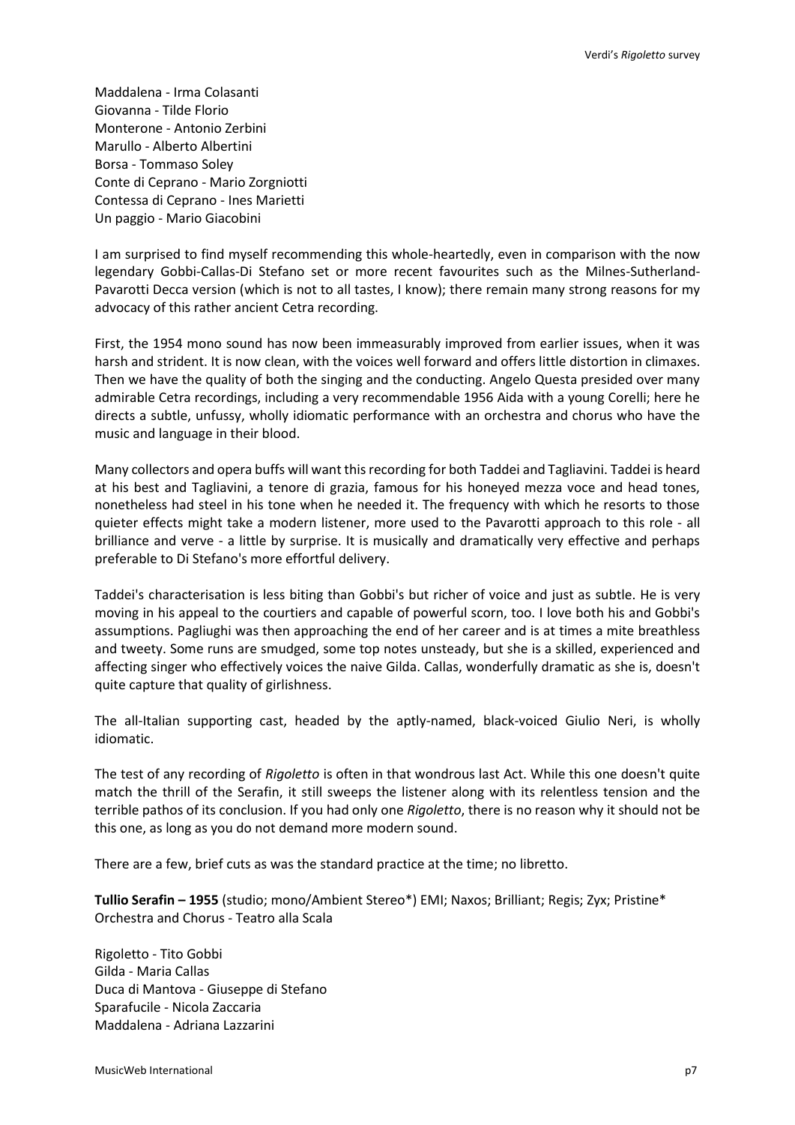Maddalena - Irma Colasanti Giovanna - Tilde Florio Monterone - Antonio Zerbini Marullo - Alberto Albertini Borsa - Tommaso Soley Conte di Ceprano - Mario Zorgniotti Contessa di Ceprano - Ines Marietti Un paggio - Mario Giacobini

I am surprised to find myself recommending this whole-heartedly, even in comparison with the now legendary Gobbi-Callas-Di Stefano set or more recent favourites such as the Milnes-Sutherland-Pavarotti Decca version (which is not to all tastes, I know); there remain many strong reasons for my advocacy of this rather ancient Cetra recording.

First, the 1954 mono sound has now been immeasurably improved from earlier issues, when it was harsh and strident. It is now clean, with the voices well forward and offers little distortion in climaxes. Then we have the quality of both the singing and the conducting. Angelo Questa presided over many admirable Cetra recordings, including a very recommendable 1956 Aida with a young Corelli; here he directs a subtle, unfussy, wholly idiomatic performance with an orchestra and chorus who have the music and language in their blood.

Many collectors and opera buffs will want this recording for both Taddei and Tagliavini. Taddei is heard at his best and Tagliavini, a tenore di grazia, famous for his honeyed mezza voce and head tones, nonetheless had steel in his tone when he needed it. The frequency with which he resorts to those quieter effects might take a modern listener, more used to the Pavarotti approach to this role - all brilliance and verve - a little by surprise. It is musically and dramatically very effective and perhaps preferable to Di Stefano's more effortful delivery.

Taddei's characterisation is less biting than Gobbi's but richer of voice and just as subtle. He is very moving in his appeal to the courtiers and capable of powerful scorn, too. I love both his and Gobbi's assumptions. Pagliughi was then approaching the end of her career and is at times a mite breathless and tweety. Some runs are smudged, some top notes unsteady, but she is a skilled, experienced and affecting singer who effectively voices the naive Gilda. Callas, wonderfully dramatic as she is, doesn't quite capture that quality of girlishness.

The all-Italian supporting cast, headed by the aptly-named, black-voiced Giulio Neri, is wholly idiomatic.

The test of any recording of *Rigoletto* is often in that wondrous last Act. While this one doesn't quite match the thrill of the Serafin, it still sweeps the listener along with its relentless tension and the terrible pathos of its conclusion. If you had only one *Rigoletto*, there is no reason why it should not be this one, as long as you do not demand more modern sound.

There are a few, brief cuts as was the standard practice at the time; no libretto.

**Tullio Serafin – 1955** (studio; mono/Ambient Stereo\*) EMI; Naxos; Brilliant; Regis; Zyx; Pristine\* Orchestra and Chorus - Teatro alla Scala

Rigoletto - Tito Gobbi Gilda - Maria Callas Duca di Mantova - Giuseppe di Stefano Sparafucile - Nicola Zaccaria Maddalena - Adriana Lazzarini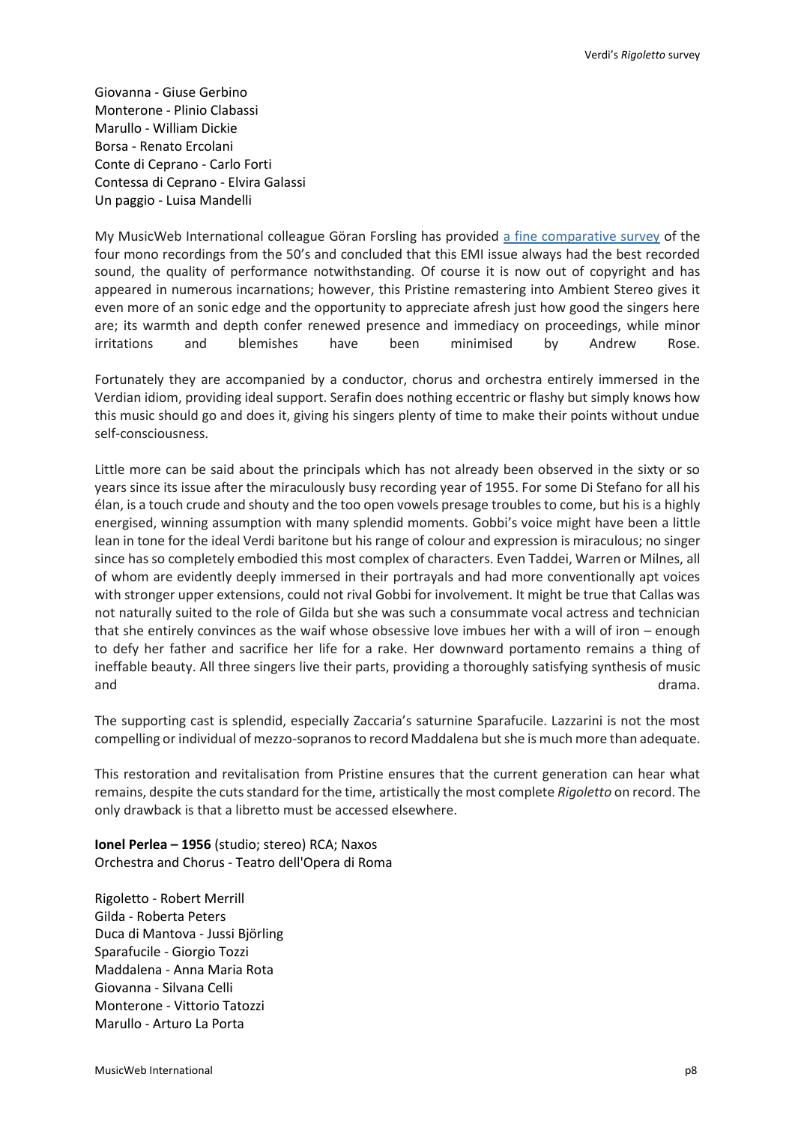Giovanna - Giuse Gerbino Monterone - Plinio Clabassi Marullo - William Dickie Borsa - Renato Ercolani Conte di Ceprano - Carlo Forti Contessa di Ceprano - Elvira Galassi Un paggio - Luisa Mandelli

My MusicWeb International colleague Göran Forsling has provided [a fine comparative survey](http://www.musicweb-international.com/classrev/2009/Apr09/verdi_rigoletto_93932.htm) of the four mono recordings from the 50's and concluded that this EMI issue always had the best recorded sound, the quality of performance notwithstanding. Of course it is now out of copyright and has appeared in numerous incarnations; however, this Pristine remastering into Ambient Stereo gives it even more of an sonic edge and the opportunity to appreciate afresh just how good the singers here are; its warmth and depth confer renewed presence and immediacy on proceedings, while minor irritations and blemishes have been minimised by Andrew Rose.

Fortunately they are accompanied by a conductor, chorus and orchestra entirely immersed in the Verdian idiom, providing ideal support. Serafin does nothing eccentric or flashy but simply knows how this music should go and does it, giving his singers plenty of time to make their points without undue self-consciousness.

Little more can be said about the principals which has not already been observed in the sixty or so years since its issue after the miraculously busy recording year of 1955. For some Di Stefano for all his élan, is a touch crude and shouty and the too open vowels presage troubles to come, but his is a highly energised, winning assumption with many splendid moments. Gobbi's voice might have been a little lean in tone for the ideal Verdi baritone but his range of colour and expression is miraculous; no singer since has so completely embodied this most complex of characters. Even Taddei, Warren or Milnes, all of whom are evidently deeply immersed in their portrayals and had more conventionally apt voices with stronger upper extensions, could not rival Gobbi for involvement. It might be true that Callas was not naturally suited to the role of Gilda but she was such a consummate vocal actress and technician that she entirely convinces as the waif whose obsessive love imbues her with a will of iron – enough to defy her father and sacrifice her life for a rake. Her downward portamento remains a thing of ineffable beauty. All three singers live their parts, providing a thoroughly satisfying synthesis of music and drama. The contract of the contract of the contract of the contract of the contract of the contract of the contract of the contract of the contract of the contract of the contract of the contract of the contract of the

The supporting cast is splendid, especially Zaccaria's saturnine Sparafucile. Lazzarini is not the most compelling or individual of mezzo-sopranos to record Maddalena but she is much more than adequate.

This restoration and revitalisation from Pristine ensures that the current generation can hear what remains, despite the cuts standard for the time, artistically the most complete *Rigoletto* on record. The only drawback is that a libretto must be accessed elsewhere.

**Ionel Perlea – 1956** (studio; stereo) RCA; Naxos Orchestra and Chorus - Teatro dell'Opera di Roma

Rigoletto - Robert Merrill Gilda - Roberta Peters Duca di Mantova - Jussi Björling Sparafucile - Giorgio Tozzi Maddalena - Anna Maria Rota Giovanna - Silvana Celli Monterone - Vittorio Tatozzi Marullo - Arturo La Porta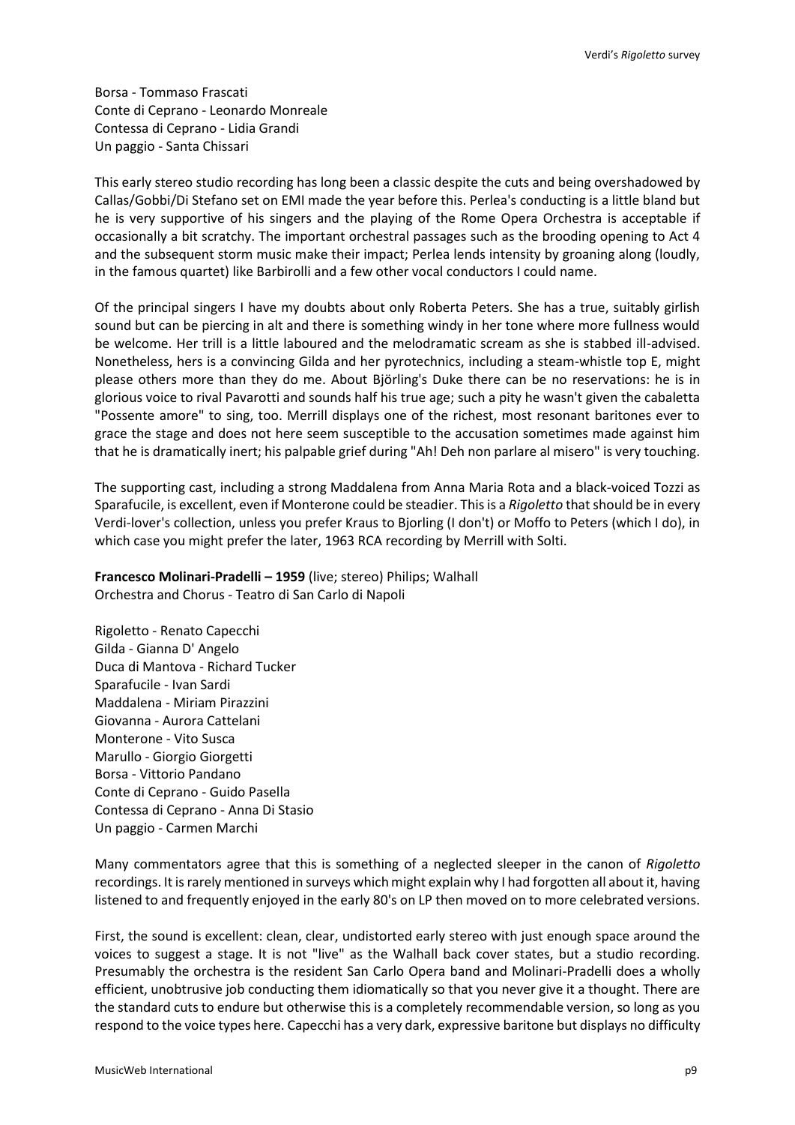Borsa - Tommaso Frascati Conte di Ceprano - Leonardo Monreale Contessa di Ceprano - Lidia Grandi Un paggio - Santa Chissari

This early stereo studio recording has long been a classic despite the cuts and being overshadowed by Callas/Gobbi/Di Stefano set on EMI made the year before this. Perlea's conducting is a little bland but he is very supportive of his singers and the playing of the Rome Opera Orchestra is acceptable if occasionally a bit scratchy. The important orchestral passages such as the brooding opening to Act 4 and the subsequent storm music make their impact; Perlea lends intensity by groaning along (loudly, in the famous quartet) like Barbirolli and a few other vocal conductors I could name.

Of the principal singers I have my doubts about only Roberta Peters. She has a true, suitably girlish sound but can be piercing in alt and there is something windy in her tone where more fullness would be welcome. Her trill is a little laboured and the melodramatic scream as she is stabbed ill-advised. Nonetheless, hers is a convincing Gilda and her pyrotechnics, including a steam-whistle top E, might please others more than they do me. About Björling's Duke there can be no reservations: he is in glorious voice to rival Pavarotti and sounds half his true age; such a pity he wasn't given the cabaletta "Possente amore" to sing, too. Merrill displays one of the richest, most resonant baritones ever to grace the stage and does not here seem susceptible to the accusation sometimes made against him that he is dramatically inert; his palpable grief during "Ah! Deh non parlare al misero" is very touching.

The supporting cast, including a strong Maddalena from Anna Maria Rota and a black-voiced Tozzi as Sparafucile, is excellent, even if Monterone could be steadier. This is a *Rigoletto* that should be in every Verdi-lover's collection, unless you prefer Kraus to Bjorling (I don't) or Moffo to Peters (which I do), in which case you might prefer the later, 1963 RCA recording by Merrill with Solti.

**Francesco Molinari-Pradelli – 1959** (live; stereo) Philips; Walhall Orchestra and Chorus - Teatro di San Carlo di Napoli

Rigoletto - Renato Capecchi Gilda - Gianna D' Angelo Duca di Mantova - Richard Tucker Sparafucile - Ivan Sardi Maddalena - Miriam Pirazzini Giovanna - Aurora Cattelani Monterone - Vito Susca Marullo - Giorgio Giorgetti Borsa - Vittorio Pandano Conte di Ceprano - Guido Pasella Contessa di Ceprano - Anna Di Stasio Un paggio - Carmen Marchi

Many commentators agree that this is something of a neglected sleeper in the canon of *Rigoletto* recordings. It is rarely mentioned in surveys which might explain why I had forgotten all about it, having listened to and frequently enjoyed in the early 80's on LP then moved on to more celebrated versions.

First, the sound is excellent: clean, clear, undistorted early stereo with just enough space around the voices to suggest a stage. It is not "live" as the Walhall back cover states, but a studio recording. Presumably the orchestra is the resident San Carlo Opera band and Molinari-Pradelli does a wholly efficient, unobtrusive job conducting them idiomatically so that you never give it a thought. There are the standard cuts to endure but otherwise this is a completely recommendable version, so long as you respond to the voice types here. Capecchi has a very dark, expressive baritone but displays no difficulty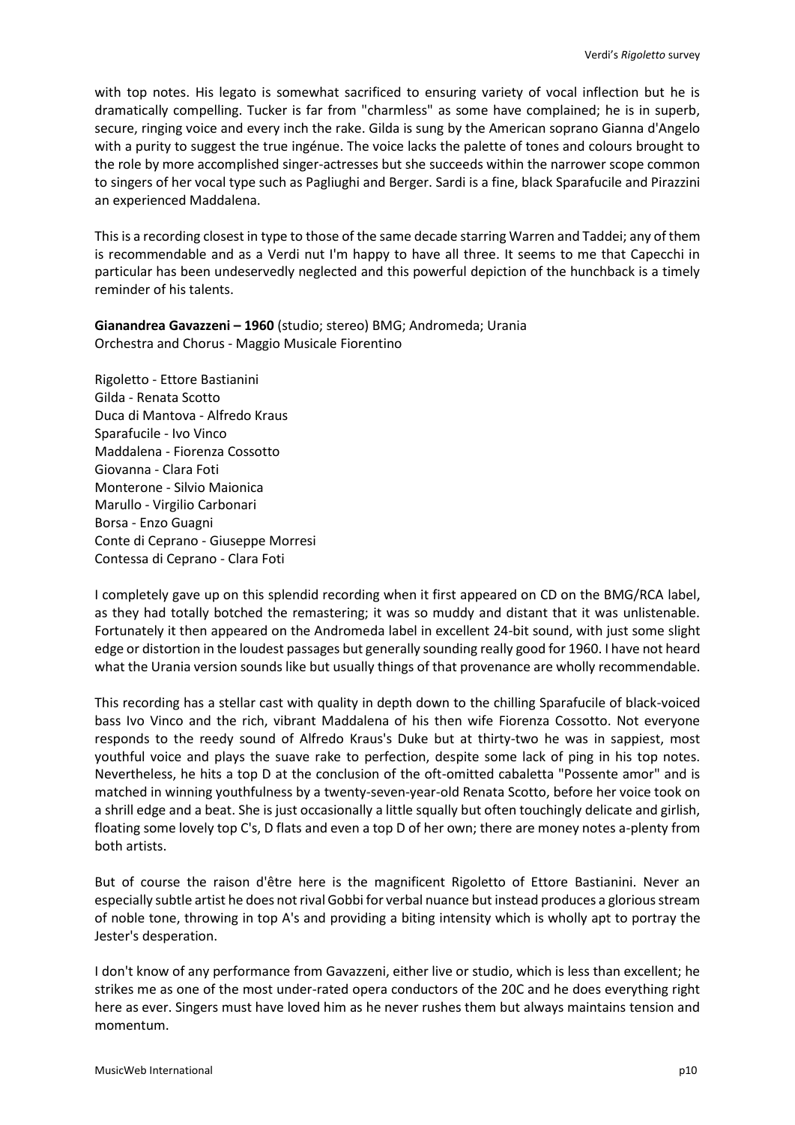with top notes. His legato is somewhat sacrificed to ensuring variety of vocal inflection but he is dramatically compelling. Tucker is far from "charmless" as some have complained; he is in superb, secure, ringing voice and every inch the rake. Gilda is sung by the American soprano Gianna d'Angelo with a purity to suggest the true ingénue. The voice lacks the palette of tones and colours brought to the role by more accomplished singer-actresses but she succeeds within the narrower scope common to singers of her vocal type such as Pagliughi and Berger. Sardi is a fine, black Sparafucile and Pirazzini an experienced Maddalena.

This is a recording closest in type to those of the same decade starring Warren and Taddei; any of them is recommendable and as a Verdi nut I'm happy to have all three. It seems to me that Capecchi in particular has been undeservedly neglected and this powerful depiction of the hunchback is a timely reminder of his talents.

**Gianandrea Gavazzeni – 1960** (studio; stereo) BMG; Andromeda; Urania Orchestra and Chorus - Maggio Musicale Fiorentino

Rigoletto - Ettore Bastianini Gilda - Renata Scotto Duca di Mantova - Alfredo Kraus Sparafucile - Ivo Vinco Maddalena - Fiorenza Cossotto Giovanna - Clara Foti Monterone - Silvio Maionica Marullo - Virgilio Carbonari Borsa - Enzo Guagni Conte di Ceprano - Giuseppe Morresi Contessa di Ceprano - Clara Foti

I completely gave up on this splendid recording when it first appeared on CD on the BMG/RCA label, as they had totally botched the remastering; it was so muddy and distant that it was unlistenable. Fortunately it then appeared on the Andromeda label in excellent 24-bit sound, with just some slight edge or distortion in the loudest passages but generally sounding really good for 1960. I have not heard what the Urania version sounds like but usually things of that provenance are wholly recommendable.

This recording has a stellar cast with quality in depth down to the chilling Sparafucile of black-voiced bass Ivo Vinco and the rich, vibrant Maddalena of his then wife Fiorenza Cossotto. Not everyone responds to the reedy sound of Alfredo Kraus's Duke but at thirty-two he was in sappiest, most youthful voice and plays the suave rake to perfection, despite some lack of ping in his top notes. Nevertheless, he hits a top D at the conclusion of the oft-omitted cabaletta "Possente amor" and is matched in winning youthfulness by a twenty-seven-year-old Renata Scotto, before her voice took on a shrill edge and a beat. She is just occasionally a little squally but often touchingly delicate and girlish, floating some lovely top C's, D flats and even a top D of her own; there are money notes a-plenty from both artists.

But of course the raison d'être here is the magnificent Rigoletto of Ettore Bastianini. Never an especially subtle artist he does not rival Gobbi for verbal nuance but instead produces a glorious stream of noble tone, throwing in top A's and providing a biting intensity which is wholly apt to portray the Jester's desperation.

I don't know of any performance from Gavazzeni, either live or studio, which is less than excellent; he strikes me as one of the most under-rated opera conductors of the 20C and he does everything right here as ever. Singers must have loved him as he never rushes them but always maintains tension and momentum.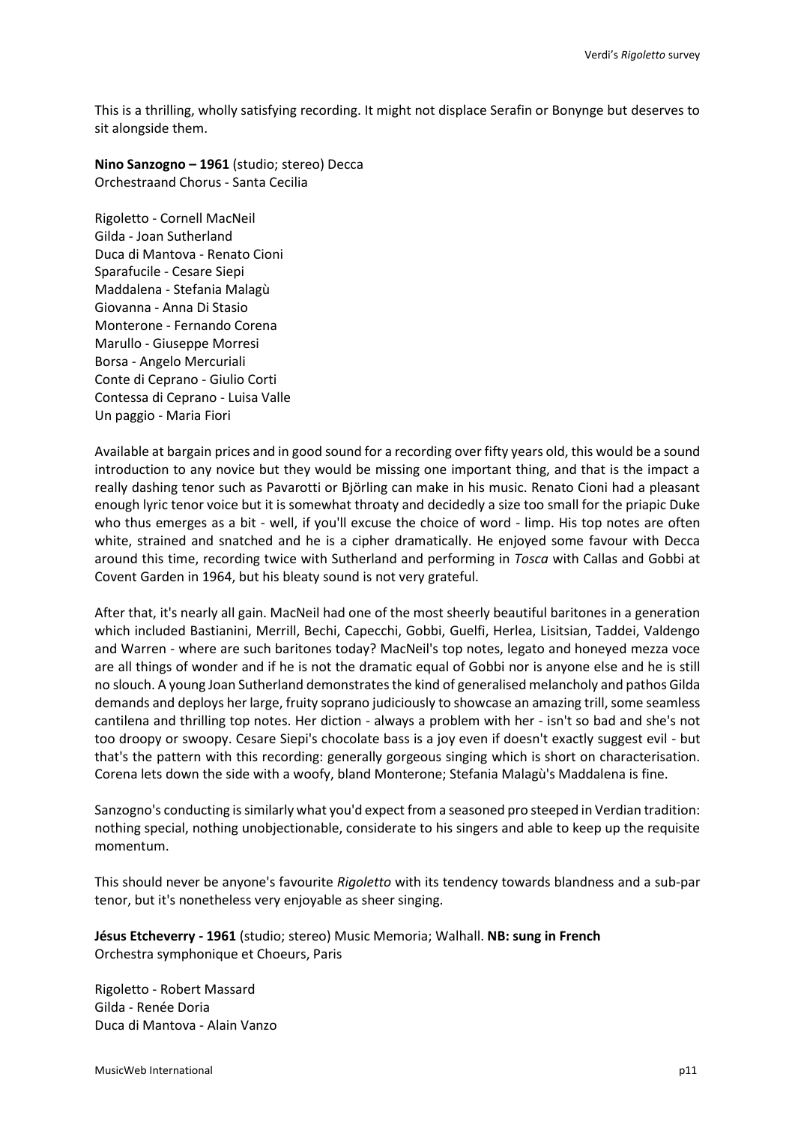This is a thrilling, wholly satisfying recording. It might not displace Serafin or Bonynge but deserves to sit alongside them.

**Nino Sanzogno – 1961** (studio; stereo) Decca Orchestraand Chorus - Santa Cecilia

Rigoletto - Cornell MacNeil Gilda - Joan Sutherland Duca di Mantova - Renato Cioni Sparafucile - Cesare Siepi Maddalena - Stefania Malagù Giovanna - Anna Di Stasio Monterone - Fernando Corena Marullo - Giuseppe Morresi Borsa - Angelo Mercuriali Conte di Ceprano - Giulio Corti Contessa di Ceprano - Luisa Valle Un paggio - Maria Fiori

Available at bargain prices and in good sound for a recording over fifty years old, this would be a sound introduction to any novice but they would be missing one important thing, and that is the impact a really dashing tenor such as Pavarotti or Björling can make in his music. Renato Cioni had a pleasant enough lyric tenor voice but it is somewhat throaty and decidedly a size too small for the priapic Duke who thus emerges as a bit - well, if you'll excuse the choice of word - limp. His top notes are often white, strained and snatched and he is a cipher dramatically. He enjoyed some favour with Decca around this time, recording twice with Sutherland and performing in *Tosca* with Callas and Gobbi at Covent Garden in 1964, but his bleaty sound is not very grateful.

After that, it's nearly all gain. MacNeil had one of the most sheerly beautiful baritones in a generation which included Bastianini, Merrill, Bechi, Capecchi, Gobbi, Guelfi, Herlea, Lisitsian, Taddei, Valdengo and Warren - where are such baritones today? MacNeil's top notes, legato and honeyed mezza voce are all things of wonder and if he is not the dramatic equal of Gobbi nor is anyone else and he is still no slouch. A young Joan Sutherland demonstrates the kind of generalised melancholy and pathos Gilda demands and deploys her large, fruity soprano judiciously to showcase an amazing trill, some seamless cantilena and thrilling top notes. Her diction - always a problem with her - isn't so bad and she's not too droopy or swoopy. Cesare Siepi's chocolate bass is a joy even if doesn't exactly suggest evil - but that's the pattern with this recording: generally gorgeous singing which is short on characterisation. Corena lets down the side with a woofy, bland Monterone; Stefania Malagù's Maddalena is fine.

Sanzogno's conducting is similarly what you'd expect from a seasoned pro steeped in Verdian tradition: nothing special, nothing unobjectionable, considerate to his singers and able to keep up the requisite momentum.

This should never be anyone's favourite *Rigoletto* with its tendency towards blandness and a sub-par tenor, but it's nonetheless very enjoyable as sheer singing.

**Jésus Etcheverry - 1961** (studio; stereo) Music Memoria; Walhall. **NB: sung in French** Orchestra symphonique et Choeurs, Paris

Rigoletto - Robert Massard Gilda - Renée Doria Duca di Mantova - Alain Vanzo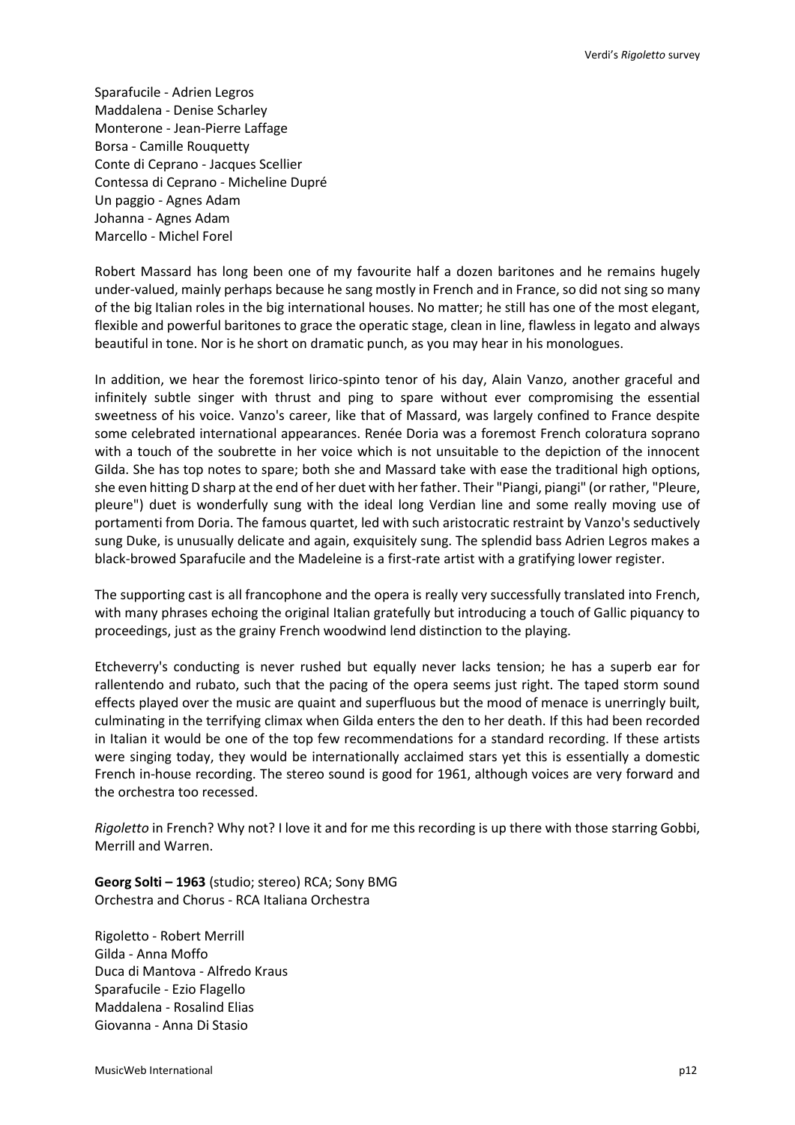Sparafucile - Adrien Legros Maddalena - Denise Scharley Monterone - Jean-Pierre Laffage Borsa - Camille Rouquetty Conte di Ceprano - Jacques Scellier Contessa di Ceprano - Micheline Dupré Un paggio - Agnes Adam Johanna - Agnes Adam Marcello - Michel Forel

Robert Massard has long been one of my favourite half a dozen baritones and he remains hugely under-valued, mainly perhaps because he sang mostly in French and in France, so did not sing so many of the big Italian roles in the big international houses. No matter; he still has one of the most elegant, flexible and powerful baritones to grace the operatic stage, clean in line, flawless in legato and always beautiful in tone. Nor is he short on dramatic punch, as you may hear in his monologues.

In addition, we hear the foremost lirico-spinto tenor of his day, Alain Vanzo, another graceful and infinitely subtle singer with thrust and ping to spare without ever compromising the essential sweetness of his voice. Vanzo's career, like that of Massard, was largely confined to France despite some celebrated international appearances. Renée Doria was a foremost French coloratura soprano with a touch of the soubrette in her voice which is not unsuitable to the depiction of the innocent Gilda. She has top notes to spare; both she and Massard take with ease the traditional high options, she even hitting D sharp at the end of her duet with her father. Their "Piangi, piangi" (or rather, "Pleure, pleure") duet is wonderfully sung with the ideal long Verdian line and some really moving use of portamenti from Doria. The famous quartet, led with such aristocratic restraint by Vanzo's seductively sung Duke, is unusually delicate and again, exquisitely sung. The splendid bass Adrien Legros makes a black-browed Sparafucile and the Madeleine is a first-rate artist with a gratifying lower register.

The supporting cast is all francophone and the opera is really very successfully translated into French, with many phrases echoing the original Italian gratefully but introducing a touch of Gallic piquancy to proceedings, just as the grainy French woodwind lend distinction to the playing.

Etcheverry's conducting is never rushed but equally never lacks tension; he has a superb ear for rallentendo and rubato, such that the pacing of the opera seems just right. The taped storm sound effects played over the music are quaint and superfluous but the mood of menace is unerringly built, culminating in the terrifying climax when Gilda enters the den to her death. If this had been recorded in Italian it would be one of the top few recommendations for a standard recording. If these artists were singing today, they would be internationally acclaimed stars yet this is essentially a domestic French in-house recording. The stereo sound is good for 1961, although voices are very forward and the orchestra too recessed.

*Rigoletto* in French? Why not? I love it and for me this recording is up there with those starring Gobbi, Merrill and Warren.

**Georg Solti – 1963** (studio; stereo) RCA; Sony BMG Orchestra and Chorus - RCA Italiana Orchestra

Rigoletto - Robert Merrill Gilda - Anna Moffo Duca di Mantova - Alfredo Kraus Sparafucile - Ezio Flagello Maddalena - Rosalind Elias Giovanna - Anna Di Stasio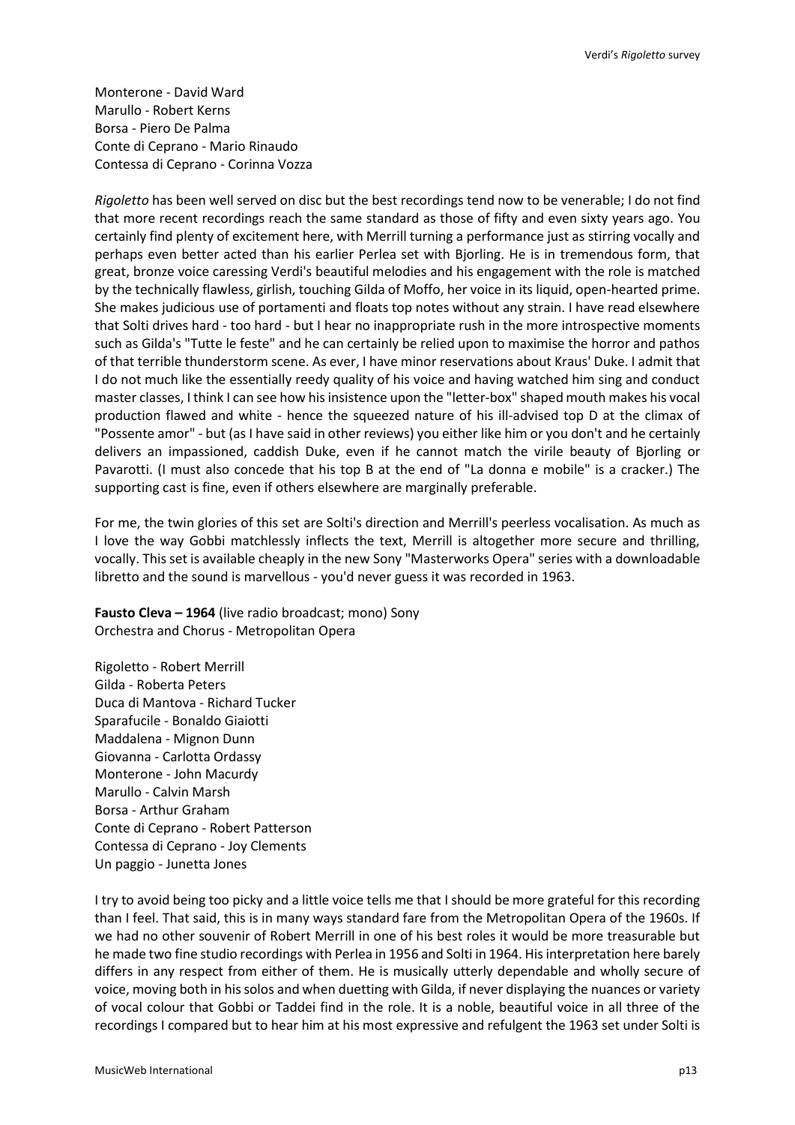Monterone - David Ward Marullo - Robert Kerns Borsa - Piero De Palma Conte di Ceprano - Mario Rinaudo Contessa di Ceprano - Corinna Vozza

*Rigoletto* has been well served on disc but the best recordings tend now to be venerable; I do not find that more recent recordings reach the same standard as those of fifty and even sixty years ago. You certainly find plenty of excitement here, with Merrill turning a performance just as stirring vocally and perhaps even better acted than his earlier Perlea set with Bjorling. He is in tremendous form, that great, bronze voice caressing Verdi's beautiful melodies and his engagement with the role is matched by the technically flawless, girlish, touching Gilda of Moffo, her voice in its liquid, open-hearted prime. She makes judicious use of portamenti and floats top notes without any strain. I have read elsewhere that Solti drives hard - too hard - but I hear no inappropriate rush in the more introspective moments such as Gilda's "Tutte le feste" and he can certainly be relied upon to maximise the horror and pathos of that terrible thunderstorm scene. As ever, I have minor reservations about Kraus' Duke. I admit that I do not much like the essentially reedy quality of his voice and having watched him sing and conduct master classes, I think I can see how his insistence upon the "letter-box" shaped mouth makes his vocal production flawed and white - hence the squeezed nature of his ill-advised top D at the climax of "Possente amor" - but (as I have said in other reviews) you either like him or you don't and he certainly delivers an impassioned, caddish Duke, even if he cannot match the virile beauty of Bjorling or Pavarotti. (I must also concede that his top B at the end of "La donna e mobile" is a cracker.) The supporting cast is fine, even if others elsewhere are marginally preferable.

For me, the twin glories of this set are Solti's direction and Merrill's peerless vocalisation. As much as I love the way Gobbi matchlessly inflects the text, Merrill is altogether more secure and thrilling, vocally. This set is available cheaply in the new Sony "Masterworks Opera" series with a downloadable libretto and the sound is marvellous - you'd never guess it was recorded in 1963.

**Fausto Cleva – 1964** (live radio broadcast; mono) Sony Orchestra and Chorus - Metropolitan Opera

Rigoletto - Robert Merrill Gilda - Roberta Peters Duca di Mantova - Richard Tucker Sparafucile - Bonaldo Giaiotti Maddalena - Mignon Dunn Giovanna - Carlotta Ordassy Monterone - John Macurdy Marullo - Calvin Marsh Borsa - Arthur Graham Conte di Ceprano - Robert Patterson Contessa di Ceprano - Joy Clements Un paggio - Junetta Jones

I try to avoid being too picky and a little voice tells me that I should be more grateful for this recording than I feel. That said, this is in many ways standard fare from the Metropolitan Opera of the 1960s. If we had no other souvenir of Robert Merrill in one of his best roles it would be more treasurable but he made two fine studio recordings with Perlea in 1956 and Solti in 1964. His interpretation here barely differs in any respect from either of them. He is musically utterly dependable and wholly secure of voice, moving both in his solos and when duetting with Gilda, if never displaying the nuances or variety of vocal colour that Gobbi or Taddei find in the role. It is a noble, beautiful voice in all three of the recordings I compared but to hear him at his most expressive and refulgent the 1963 set under Solti is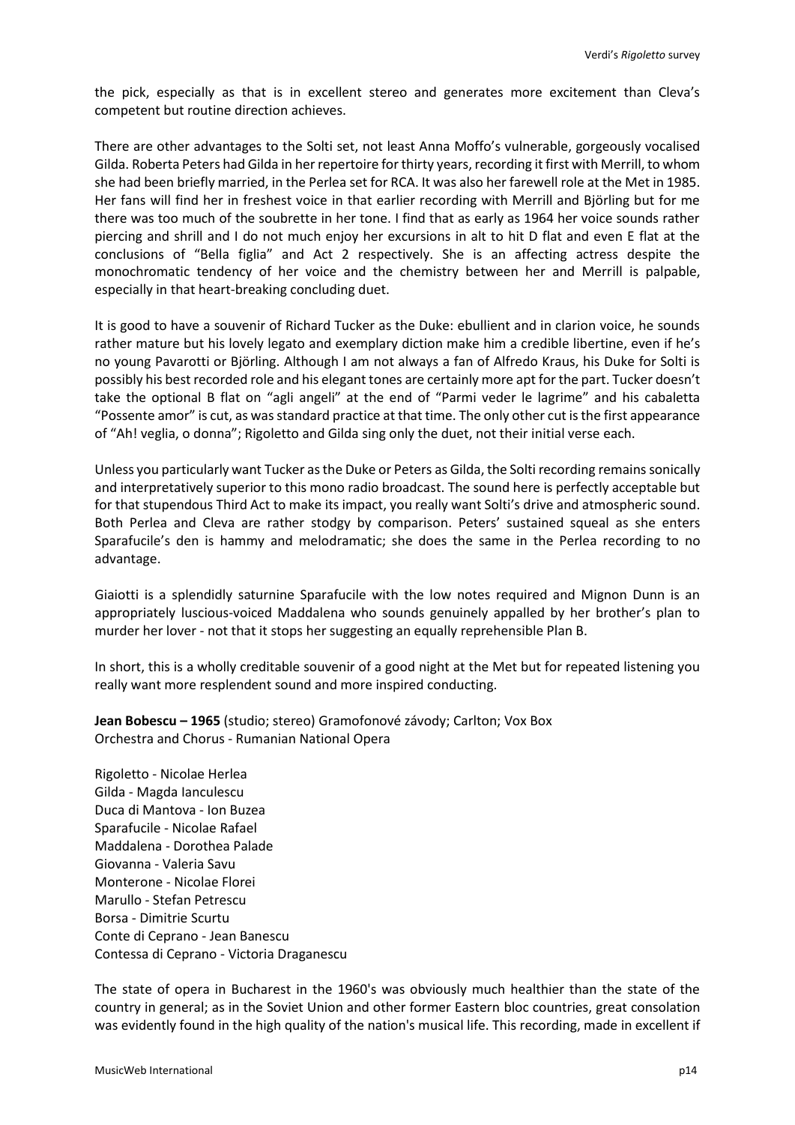the pick, especially as that is in excellent stereo and generates more excitement than Cleva's competent but routine direction achieves.

There are other advantages to the Solti set, not least Anna Moffo's vulnerable, gorgeously vocalised Gilda. Roberta Peters had Gilda in her repertoire for thirty years, recording it first with Merrill, to whom she had been briefly married, in the Perlea set for RCA. It was also her farewell role at the Met in 1985. Her fans will find her in freshest voice in that earlier recording with Merrill and Björling but for me there was too much of the soubrette in her tone. I find that as early as 1964 her voice sounds rather piercing and shrill and I do not much enjoy her excursions in alt to hit D flat and even E flat at the conclusions of "Bella figlia" and Act 2 respectively. She is an affecting actress despite the monochromatic tendency of her voice and the chemistry between her and Merrill is palpable, especially in that heart-breaking concluding duet.

It is good to have a souvenir of Richard Tucker as the Duke: ebullient and in clarion voice, he sounds rather mature but his lovely legato and exemplary diction make him a credible libertine, even if he's no young Pavarotti or Björling. Although I am not always a fan of Alfredo Kraus, his Duke for Solti is possibly his best recorded role and his elegant tones are certainly more apt for the part. Tucker doesn't take the optional B flat on "agli angeli" at the end of "Parmi veder le lagrime" and his cabaletta "Possente amor" is cut, as was standard practice at that time. The only other cut is the first appearance of "Ah! veglia, o donna"; Rigoletto and Gilda sing only the duet, not their initial verse each.

Unless you particularly want Tucker as the Duke or Peters as Gilda, the Solti recording remains sonically and interpretatively superior to this mono radio broadcast. The sound here is perfectly acceptable but for that stupendous Third Act to make its impact, you really want Solti's drive and atmospheric sound. Both Perlea and Cleva are rather stodgy by comparison. Peters' sustained squeal as she enters Sparafucile's den is hammy and melodramatic; she does the same in the Perlea recording to no advantage.

Giaiotti is a splendidly saturnine Sparafucile with the low notes required and Mignon Dunn is an appropriately luscious-voiced Maddalena who sounds genuinely appalled by her brother's plan to murder her lover - not that it stops her suggesting an equally reprehensible Plan B.

In short, this is a wholly creditable souvenir of a good night at the Met but for repeated listening you really want more resplendent sound and more inspired conducting.

**Jean Bobescu – 1965** (studio; stereo) Gramofonové závody; Carlton; Vox Box Orchestra and Chorus - Rumanian National Opera

Rigoletto - Nicolae Herlea Gilda - Magda Ianculescu Duca di Mantova - Ion Buzea Sparafucile - Nicolae Rafael Maddalena - Dorothea Palade Giovanna - Valeria Savu Monterone - Nicolae Florei Marullo - Stefan Petrescu Borsa - Dimitrie Scurtu Conte di Ceprano - Jean Banescu Contessa di Ceprano - Victoria Draganescu

The state of opera in Bucharest in the 1960's was obviously much healthier than the state of the country in general; as in the Soviet Union and other former Eastern bloc countries, great consolation was evidently found in the high quality of the nation's musical life. This recording, made in excellent if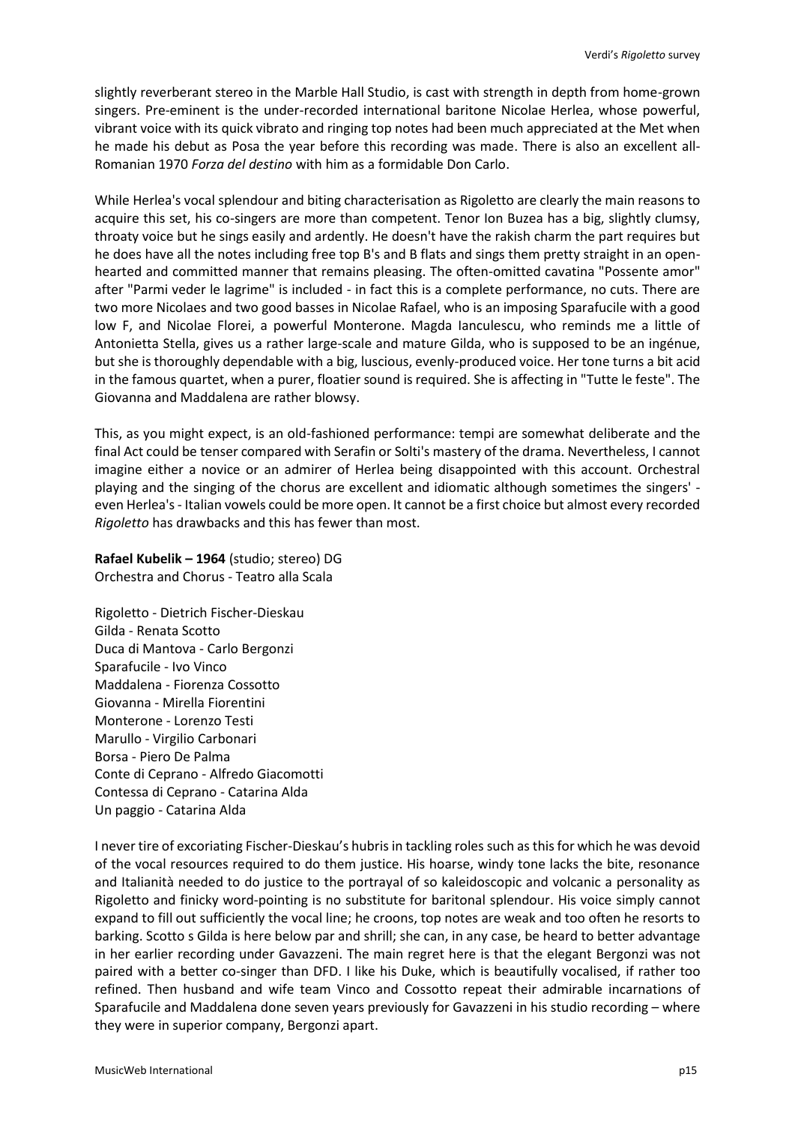slightly reverberant stereo in the Marble Hall Studio, is cast with strength in depth from home-grown singers. Pre-eminent is the under-recorded international baritone Nicolae Herlea, whose powerful, vibrant voice with its quick vibrato and ringing top notes had been much appreciated at the Met when he made his debut as Posa the year before this recording was made. There is also an excellent all-Romanian 1970 *Forza del destino* with him as a formidable Don Carlo.

While Herlea's vocal splendour and biting characterisation as Rigoletto are clearly the main reasons to acquire this set, his co-singers are more than competent. Tenor Ion Buzea has a big, slightly clumsy, throaty voice but he sings easily and ardently. He doesn't have the rakish charm the part requires but he does have all the notes including free top B's and B flats and sings them pretty straight in an openhearted and committed manner that remains pleasing. The often-omitted cavatina "Possente amor" after "Parmi veder le lagrime" is included - in fact this is a complete performance, no cuts. There are two more Nicolaes and two good basses in Nicolae Rafael, who is an imposing Sparafucile with a good low F, and Nicolae Florei, a powerful Monterone. Magda Ianculescu, who reminds me a little of Antonietta Stella, gives us a rather large-scale and mature Gilda, who is supposed to be an ingénue, but she is thoroughly dependable with a big, luscious, evenly-produced voice. Her tone turns a bit acid in the famous quartet, when a purer, floatier sound is required. She is affecting in "Tutte le feste". The Giovanna and Maddalena are rather blowsy.

This, as you might expect, is an old-fashioned performance: tempi are somewhat deliberate and the final Act could be tenser compared with Serafin or Solti's mastery of the drama. Nevertheless, I cannot imagine either a novice or an admirer of Herlea being disappointed with this account. Orchestral playing and the singing of the chorus are excellent and idiomatic although sometimes the singers' even Herlea's - Italian vowels could be more open. It cannot be a first choice but almost every recorded *Rigoletto* has drawbacks and this has fewer than most.

**Rafael Kubelik – 1964** (studio; stereo) DG Orchestra and Chorus - Teatro alla Scala

Rigoletto - Dietrich Fischer-Dieskau Gilda - Renata Scotto Duca di Mantova - Carlo Bergonzi Sparafucile - Ivo Vinco Maddalena - Fiorenza Cossotto Giovanna - Mirella Fiorentini Monterone - Lorenzo Testi Marullo - Virgilio Carbonari Borsa - Piero De Palma Conte di Ceprano - Alfredo Giacomotti Contessa di Ceprano - Catarina Alda Un paggio - Catarina Alda

I never tire of excoriating Fischer-Dieskau's hubris in tackling roles such as this for which he was devoid of the vocal resources required to do them justice. His hoarse, windy tone lacks the bite, resonance and Italianità needed to do justice to the portrayal of so kaleidoscopic and volcanic a personality as Rigoletto and finicky word-pointing is no substitute for baritonal splendour. His voice simply cannot expand to fill out sufficiently the vocal line; he croons, top notes are weak and too often he resorts to barking. Scotto s Gilda is here below par and shrill; she can, in any case, be heard to better advantage in her earlier recording under Gavazzeni. The main regret here is that the elegant Bergonzi was not paired with a better co-singer than DFD. I like his Duke, which is beautifully vocalised, if rather too refined. Then husband and wife team Vinco and Cossotto repeat their admirable incarnations of Sparafucile and Maddalena done seven years previously for Gavazzeni in his studio recording – where they were in superior company, Bergonzi apart.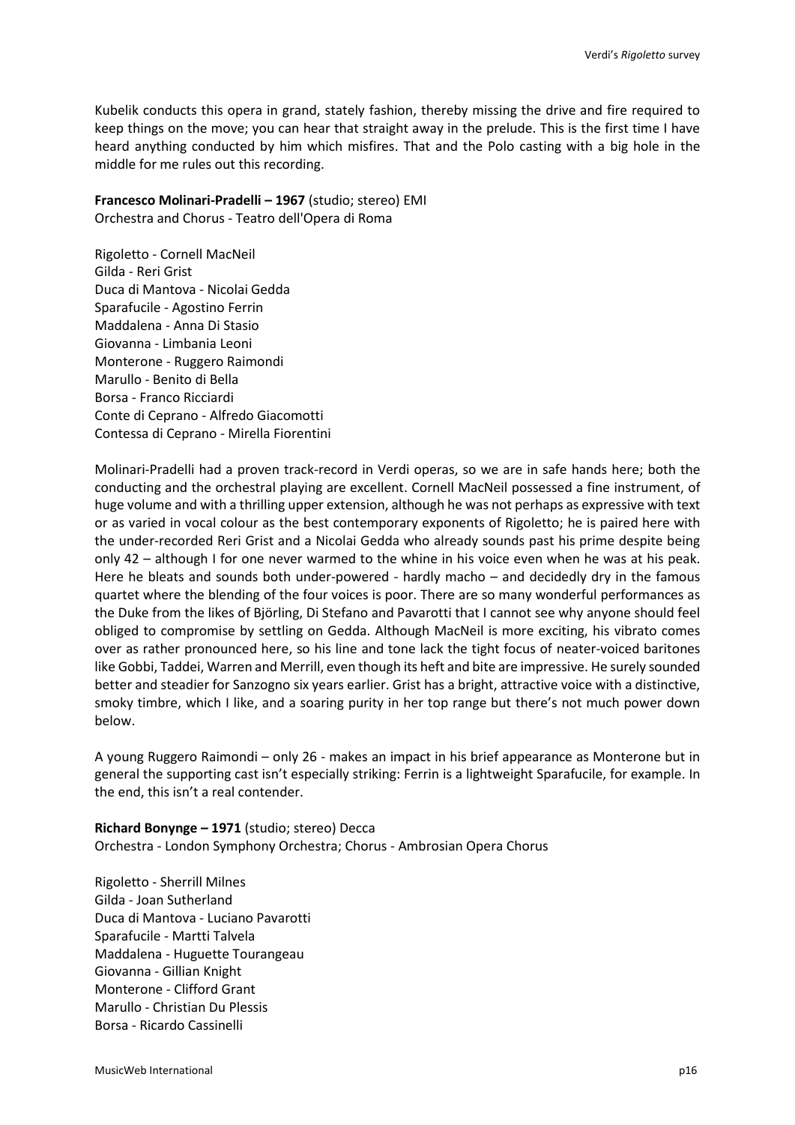Kubelik conducts this opera in grand, stately fashion, thereby missing the drive and fire required to keep things on the move; you can hear that straight away in the prelude. This is the first time I have heard anything conducted by him which misfires. That and the Polo casting with a big hole in the middle for me rules out this recording.

**Francesco Molinari-Pradelli – 1967** (studio; stereo) EMI Orchestra and Chorus - Teatro dell'Opera di Roma

Rigoletto - Cornell MacNeil Gilda - Reri Grist Duca di Mantova - Nicolai Gedda Sparafucile - Agostino Ferrin Maddalena - Anna Di Stasio Giovanna - Limbania Leoni Monterone - Ruggero Raimondi Marullo - Benito di Bella Borsa - Franco Ricciardi Conte di Ceprano - Alfredo Giacomotti Contessa di Ceprano - Mirella Fiorentini

Molinari-Pradelli had a proven track-record in Verdi operas, so we are in safe hands here; both the conducting and the orchestral playing are excellent. Cornell MacNeil possessed a fine instrument, of huge volume and with a thrilling upper extension, although he was not perhaps as expressive with text or as varied in vocal colour as the best contemporary exponents of Rigoletto; he is paired here with the under-recorded Reri Grist and a Nicolai Gedda who already sounds past his prime despite being only 42 – although I for one never warmed to the whine in his voice even when he was at his peak. Here he bleats and sounds both under-powered - hardly macho – and decidedly dry in the famous quartet where the blending of the four voices is poor. There are so many wonderful performances as the Duke from the likes of Björling, Di Stefano and Pavarotti that I cannot see why anyone should feel obliged to compromise by settling on Gedda. Although MacNeil is more exciting, his vibrato comes over as rather pronounced here, so his line and tone lack the tight focus of neater-voiced baritones like Gobbi, Taddei, Warren and Merrill, even though its heft and bite are impressive. He surely sounded better and steadier for Sanzogno six years earlier. Grist has a bright, attractive voice with a distinctive, smoky timbre, which I like, and a soaring purity in her top range but there's not much power down below.

A young Ruggero Raimondi – only 26 - makes an impact in his brief appearance as Monterone but in general the supporting cast isn't especially striking: Ferrin is a lightweight Sparafucile, for example. In the end, this isn't a real contender.

**Richard Bonynge – 1971** (studio; stereo) Decca Orchestra - London Symphony Orchestra; Chorus - Ambrosian Opera Chorus

Rigoletto - Sherrill Milnes Gilda - Joan Sutherland Duca di Mantova - Luciano Pavarotti Sparafucile - Martti Talvela Maddalena - Huguette Tourangeau Giovanna - Gillian Knight Monterone - Clifford Grant Marullo - Christian Du Plessis Borsa - Ricardo Cassinelli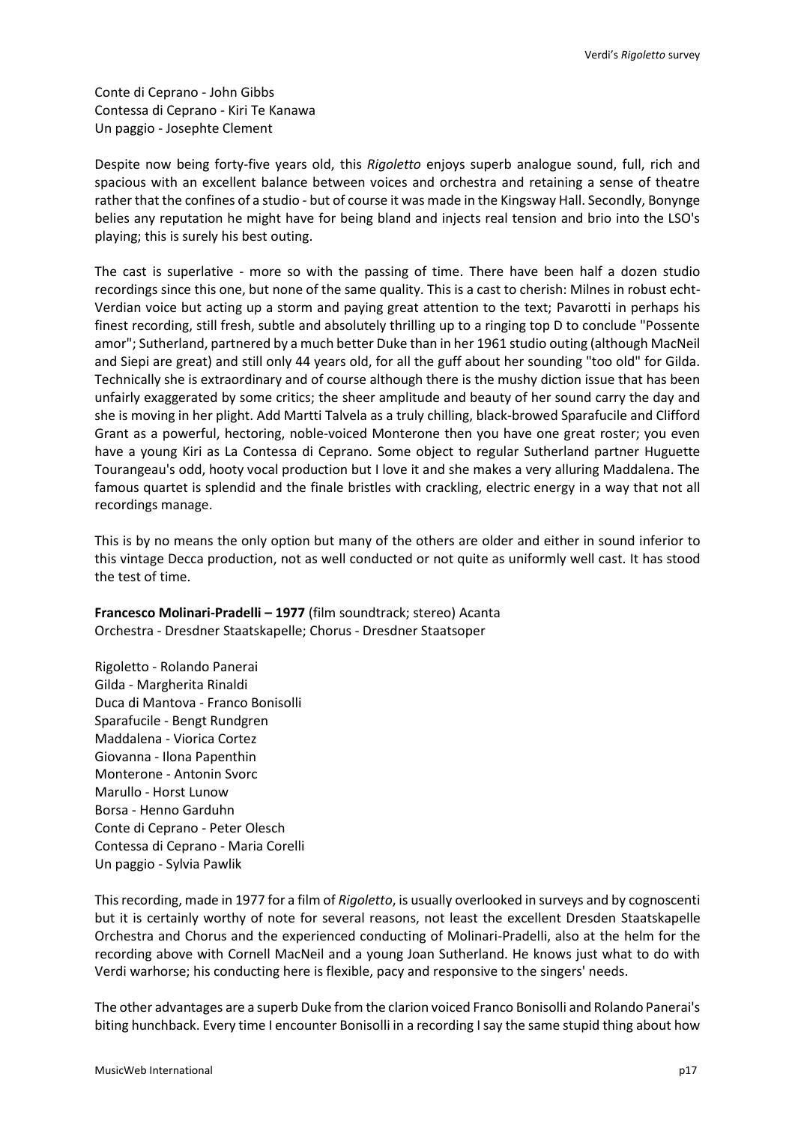Conte di Ceprano - John Gibbs Contessa di Ceprano - Kiri Te Kanawa Un paggio - Josephte Clement

Despite now being forty-five years old, this *Rigoletto* enjoys superb analogue sound, full, rich and spacious with an excellent balance between voices and orchestra and retaining a sense of theatre rather that the confines of a studio - but of course it was made in the Kingsway Hall. Secondly, Bonynge belies any reputation he might have for being bland and injects real tension and brio into the LSO's playing; this is surely his best outing.

The cast is superlative - more so with the passing of time. There have been half a dozen studio recordings since this one, but none of the same quality. This is a cast to cherish: Milnes in robust echt-Verdian voice but acting up a storm and paying great attention to the text; Pavarotti in perhaps his finest recording, still fresh, subtle and absolutely thrilling up to a ringing top D to conclude "Possente amor"; Sutherland, partnered by a much better Duke than in her 1961 studio outing (although MacNeil and Siepi are great) and still only 44 years old, for all the guff about her sounding "too old" for Gilda. Technically she is extraordinary and of course although there is the mushy diction issue that has been unfairly exaggerated by some critics; the sheer amplitude and beauty of her sound carry the day and she is moving in her plight. Add Martti Talvela as a truly chilling, black-browed Sparafucile and Clifford Grant as a powerful, hectoring, noble-voiced Monterone then you have one great roster; you even have a young Kiri as La Contessa di Ceprano. Some object to regular Sutherland partner Huguette Tourangeau's odd, hooty vocal production but I love it and she makes a very alluring Maddalena. The famous quartet is splendid and the finale bristles with crackling, electric energy in a way that not all recordings manage.

This is by no means the only option but many of the others are older and either in sound inferior to this vintage Decca production, not as well conducted or not quite as uniformly well cast. It has stood the test of time.

**Francesco Molinari-Pradelli – 1977** (film soundtrack; stereo) Acanta Orchestra - Dresdner Staatskapelle; Chorus - Dresdner Staatsoper

Rigoletto - Rolando Panerai Gilda - Margherita Rinaldi Duca di Mantova - Franco Bonisolli Sparafucile - Bengt Rundgren Maddalena - Viorica Cortez Giovanna - Ilona Papenthin Monterone - Antonin Svorc Marullo - Horst Lunow Borsa - Henno Garduhn Conte di Ceprano - Peter Olesch Contessa di Ceprano - Maria Corelli Un paggio - Sylvia Pawlik

This recording, made in 1977 for a film of *Rigoletto*, is usually overlooked in surveys and by cognoscenti but it is certainly worthy of note for several reasons, not least the excellent Dresden Staatskapelle Orchestra and Chorus and the experienced conducting of Molinari-Pradelli, also at the helm for the recording above with Cornell MacNeil and a young Joan Sutherland. He knows just what to do with Verdi warhorse; his conducting here is flexible, pacy and responsive to the singers' needs.

The other advantages are a superb Duke from the clarion voiced Franco Bonisolli and Rolando Panerai's biting hunchback. Every time I encounter Bonisolli in a recording I say the same stupid thing about how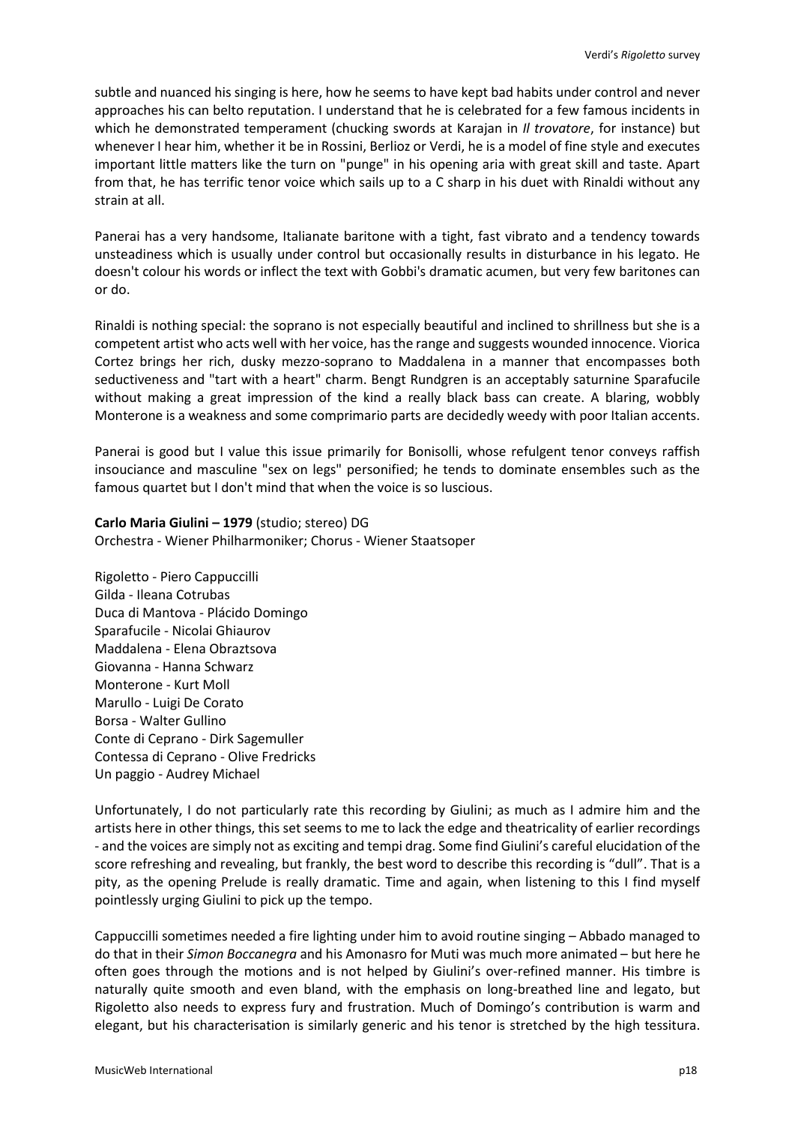subtle and nuanced his singing is here, how he seems to have kept bad habits under control and never approaches his can belto reputation. I understand that he is celebrated for a few famous incidents in which he demonstrated temperament (chucking swords at Karajan in *Il trovatore*, for instance) but whenever I hear him, whether it be in Rossini, Berlioz or Verdi, he is a model of fine style and executes important little matters like the turn on "punge" in his opening aria with great skill and taste. Apart from that, he has terrific tenor voice which sails up to a C sharp in his duet with Rinaldi without any strain at all.

Panerai has a very handsome, Italianate baritone with a tight, fast vibrato and a tendency towards unsteadiness which is usually under control but occasionally results in disturbance in his legato. He doesn't colour his words or inflect the text with Gobbi's dramatic acumen, but very few baritones can or do.

Rinaldi is nothing special: the soprano is not especially beautiful and inclined to shrillness but she is a competent artist who acts well with her voice, has the range and suggests wounded innocence. Viorica Cortez brings her rich, dusky mezzo-soprano to Maddalena in a manner that encompasses both seductiveness and "tart with a heart" charm. Bengt Rundgren is an acceptably saturnine Sparafucile without making a great impression of the kind a really black bass can create. A blaring, wobbly Monterone is a weakness and some comprimario parts are decidedly weedy with poor Italian accents.

Panerai is good but I value this issue primarily for Bonisolli, whose refulgent tenor conveys raffish insouciance and masculine "sex on legs" personified; he tends to dominate ensembles such as the famous quartet but I don't mind that when the voice is so luscious.

**Carlo Maria Giulini – 1979** (studio; stereo) DG Orchestra - Wiener Philharmoniker; Chorus - Wiener Staatsoper

Rigoletto - Piero Cappuccilli Gilda - Ileana Cotrubas Duca di Mantova - Plácido Domingo Sparafucile - Nicolai Ghiaurov Maddalena - Elena Obraztsova Giovanna - Hanna Schwarz Monterone - Kurt Moll Marullo - Luigi De Corato Borsa - Walter Gullino Conte di Ceprano - Dirk Sagemuller Contessa di Ceprano - Olive Fredricks Un paggio - Audrey Michael

Unfortunately, I do not particularly rate this recording by Giulini; as much as I admire him and the artists here in other things, this set seems to me to lack the edge and theatricality of earlier recordings - and the voices are simply not as exciting and tempi drag. Some find Giulini's careful elucidation of the score refreshing and revealing, but frankly, the best word to describe this recording is "dull". That is a pity, as the opening Prelude is really dramatic. Time and again, when listening to this I find myself pointlessly urging Giulini to pick up the tempo.

Cappuccilli sometimes needed a fire lighting under him to avoid routine singing – Abbado managed to do that in their *Simon Boccanegra* and his Amonasro for Muti was much more animated – but here he often goes through the motions and is not helped by Giulini's over-refined manner. His timbre is naturally quite smooth and even bland, with the emphasis on long-breathed line and legato, but Rigoletto also needs to express fury and frustration. Much of Domingo's contribution is warm and elegant, but his characterisation is similarly generic and his tenor is stretched by the high tessitura.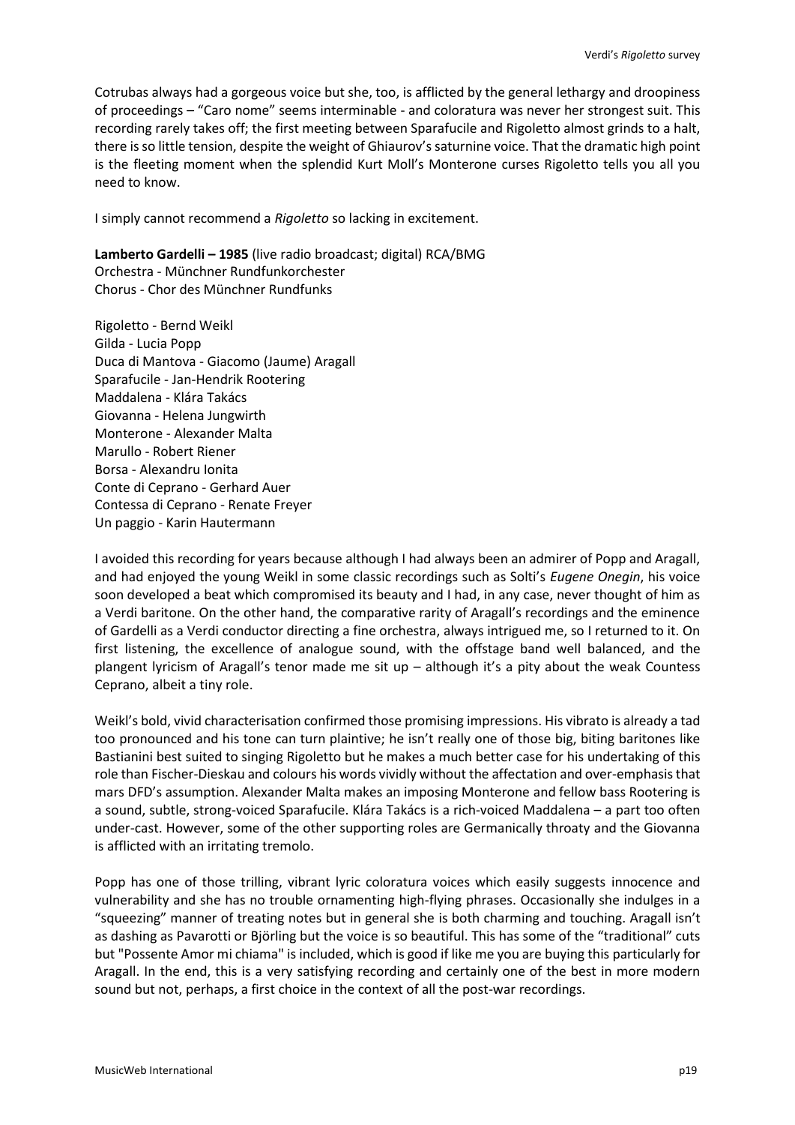Cotrubas always had a gorgeous voice but she, too, is afflicted by the general lethargy and droopiness of proceedings – "Caro nome" seems interminable - and coloratura was never her strongest suit. This recording rarely takes off; the first meeting between Sparafucile and Rigoletto almost grinds to a halt, there is so little tension, despite the weight of Ghiaurov's saturnine voice. That the dramatic high point is the fleeting moment when the splendid Kurt Moll's Monterone curses Rigoletto tells you all you need to know.

I simply cannot recommend a *Rigoletto* so lacking in excitement.

**Lamberto Gardelli – 1985** (live radio broadcast; digital) RCA/BMG Orchestra - Münchner Rundfunkorchester Chorus - Chor des Münchner Rundfunks

Rigoletto - Bernd Weikl Gilda - Lucia Popp Duca di Mantova - Giacomo (Jaume) Aragall Sparafucile - Jan-Hendrik Rootering Maddalena - Klára Takács Giovanna - Helena Jungwirth Monterone - Alexander Malta Marullo - Robert Riener Borsa - Alexandru Ionita Conte di Ceprano - Gerhard Auer Contessa di Ceprano - Renate Freyer Un paggio - Karin Hautermann

I avoided this recording for years because although I had always been an admirer of Popp and Aragall, and had enjoyed the young Weikl in some classic recordings such as Solti's *Eugene Onegin*, his voice soon developed a beat which compromised its beauty and I had, in any case, never thought of him as a Verdi baritone. On the other hand, the comparative rarity of Aragall's recordings and the eminence of Gardelli as a Verdi conductor directing a fine orchestra, always intrigued me, so I returned to it. On first listening, the excellence of analogue sound, with the offstage band well balanced, and the plangent lyricism of Aragall's tenor made me sit up – although it's a pity about the weak Countess Ceprano, albeit a tiny role.

Weikl's bold, vivid characterisation confirmed those promising impressions. His vibrato is already a tad too pronounced and his tone can turn plaintive; he isn't really one of those big, biting baritones like Bastianini best suited to singing Rigoletto but he makes a much better case for his undertaking of this role than Fischer-Dieskau and colours his words vividly without the affectation and over-emphasis that mars DFD's assumption. Alexander Malta makes an imposing Monterone and fellow bass Rootering is a sound, subtle, strong-voiced Sparafucile. Klára Takács is a rich-voiced Maddalena – a part too often under-cast. However, some of the other supporting roles are Germanically throaty and the Giovanna is afflicted with an irritating tremolo.

Popp has one of those trilling, vibrant lyric coloratura voices which easily suggests innocence and vulnerability and she has no trouble ornamenting high-flying phrases. Occasionally she indulges in a "squeezing" manner of treating notes but in general she is both charming and touching. Aragall isn't as dashing as Pavarotti or Björling but the voice is so beautiful. This has some of the "traditional" cuts but "Possente Amor mi chiama" is included, which is good if like me you are buying this particularly for Aragall. In the end, this is a very satisfying recording and certainly one of the best in more modern sound but not, perhaps, a first choice in the context of all the post-war recordings.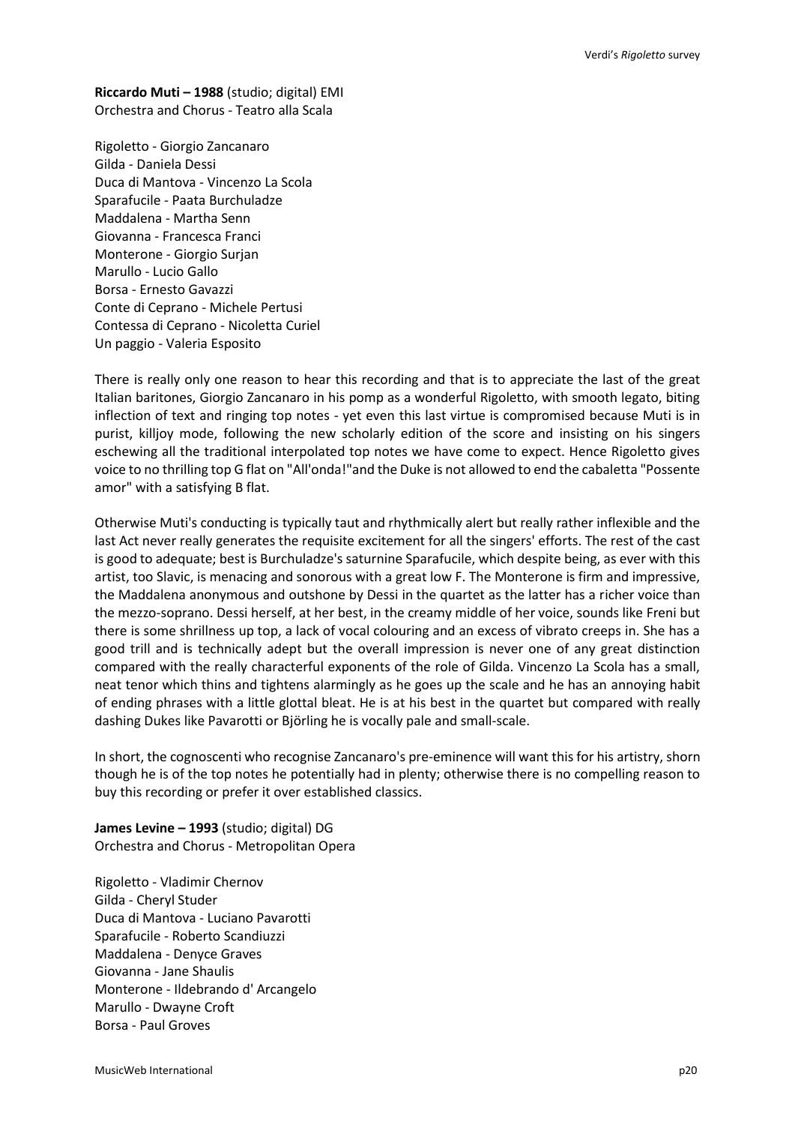**Riccardo Muti – 1988** (studio; digital) EMI Orchestra and Chorus - Teatro alla Scala

Rigoletto - Giorgio Zancanaro Gilda - Daniela Dessi Duca di Mantova - Vincenzo La Scola Sparafucile - Paata Burchuladze Maddalena - Martha Senn Giovanna - Francesca Franci Monterone - Giorgio Surjan Marullo - Lucio Gallo Borsa - Ernesto Gavazzi Conte di Ceprano - Michele Pertusi Contessa di Ceprano - Nicoletta Curiel Un paggio - Valeria Esposito

There is really only one reason to hear this recording and that is to appreciate the last of the great Italian baritones, Giorgio Zancanaro in his pomp as a wonderful Rigoletto, with smooth legato, biting inflection of text and ringing top notes - yet even this last virtue is compromised because Muti is in purist, killjoy mode, following the new scholarly edition of the score and insisting on his singers eschewing all the traditional interpolated top notes we have come to expect. Hence Rigoletto gives voice to no thrilling top G flat on "All'onda!"and the Duke is not allowed to end the cabaletta "Possente amor" with a satisfying B flat.

Otherwise Muti's conducting is typically taut and rhythmically alert but really rather inflexible and the last Act never really generates the requisite excitement for all the singers' efforts. The rest of the cast is good to adequate; best is Burchuladze's saturnine Sparafucile, which despite being, as ever with this artist, too Slavic, is menacing and sonorous with a great low F. The Monterone is firm and impressive, the Maddalena anonymous and outshone by Dessi in the quartet as the latter has a richer voice than the mezzo-soprano. Dessi herself, at her best, in the creamy middle of her voice, sounds like Freni but there is some shrillness up top, a lack of vocal colouring and an excess of vibrato creeps in. She has a good trill and is technically adept but the overall impression is never one of any great distinction compared with the really characterful exponents of the role of Gilda. Vincenzo La Scola has a small, neat tenor which thins and tightens alarmingly as he goes up the scale and he has an annoying habit of ending phrases with a little glottal bleat. He is at his best in the quartet but compared with really dashing Dukes like Pavarotti or Björling he is vocally pale and small-scale.

In short, the cognoscenti who recognise Zancanaro's pre-eminence will want this for his artistry, shorn though he is of the top notes he potentially had in plenty; otherwise there is no compelling reason to buy this recording or prefer it over established classics.

**James Levine – 1993** (studio; digital) DG Orchestra and Chorus - Metropolitan Opera

Rigoletto - Vladimir Chernov Gilda - Cheryl Studer Duca di Mantova - Luciano Pavarotti Sparafucile - Roberto Scandiuzzi Maddalena - Denyce Graves Giovanna - Jane Shaulis Monterone - Ildebrando d' Arcangelo Marullo - Dwayne Croft Borsa - Paul Groves